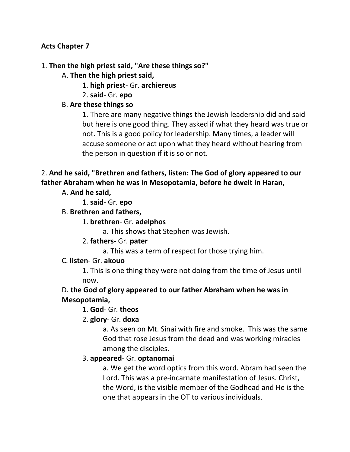#### **Acts Chapter 7**

#### 1. **Then the high priest said, "Are these things so?"**

- A. **Then the high priest said,**
	- 1. **high priest** Gr. **archiereus**
	- 2. **said** Gr. **epo**

#### B. **Are these things so**

1. There are many negative things the Jewish leadership did and said but here is one good thing. They asked if what they heard was true or not. This is a good policy for leadership. Many times, a leader will accuse someone or act upon what they heard without hearing from the person in question if it is so or not.

# 2. **And he said, "Brethren and fathers, listen: The God of glory appeared to our father Abraham when he was in Mesopotamia, before he dwelt in Haran,**

A. **And he said,**

1. **said**- Gr. **epo**

#### B. **Brethren and fathers,**

#### 1. **brethren**- Gr. **adelphos**

a. This shows that Stephen was Jewish.

### 2. **fathers**- Gr. **pater**

a. This was a term of respect for those trying him.

#### C. **listen**- Gr. **akouo**

1. This is one thing they were not doing from the time of Jesus until now.

### D. **the God of glory appeared to our father Abraham when he was in Mesopotamia,**

#### 1. **God**- Gr. **theos**

#### 2. **glory**- Gr. **doxa**

a. As seen on Mt. Sinai with fire and smoke. This was the same God that rose Jesus from the dead and was working miracles among the disciples.

#### 3. **appeared**- Gr. **optanomai**

a. We get the word optics from this word. Abram had seen the Lord. This was a pre-incarnate manifestation of Jesus. Christ, the Word, is the visible member of the Godhead and He is the one that appears in the OT to various individuals.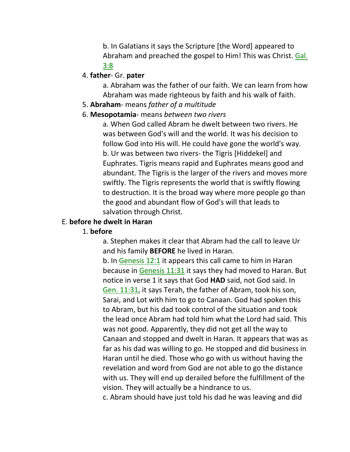b. In Galatians it says the Scripture [the Word] appeared to Abraham and preached the gospel to Him! This was Christ. Gal. 3:8

#### 4. **father**- Gr. **pater**

a. Abraham was the father of our faith. We can learn from how Abraham was made righteous by faith and his walk of faith.

#### 5. **Abraham**- means *father of a multitude*

#### 6. **Mesopotamia**- means *between two rivers*

a. When God called Abram he dwelt between two rivers. He was between God's will and the world. It was his decision to follow God into His will. He could have gone the world's way. b. Ur was between two rivers- the Tigris [Hiddekel] and Euphrates. Tigris means rapid and Euphrates means good and abundant. The Tigris is the larger of the rivers and moves more swiftly. The Tigris represents the world that is swiftly flowing to destruction. It is the broad way where more people go than the good and abundant flow of God's will that leads to salvation through Christ.

#### E. **before he dwelt in Haran**

#### 1. **before**

a. Stephen makes it clear that Abram had the call to leave Ur and his family **BEFORE** he lived in Haran.

b. In Genesis 12:1 it appears this call came to him in Haran because in Genesis 11:31 it says they had moved to Haran. But notice in verse 1 it says that God **HAD** said, not God said. In Gen. 11:31, it says Terah, the father of Abram, took his son, Sarai, and Lot with him to go to Canaan. God had spoken this to Abram, but his dad took control of the situation and took the lead once Abram had told him what the Lord had said. This was not good. Apparently, they did not get all the way to Canaan and stopped and dwelt in Haran. It appears that was as far as his dad was willing to go. He stopped and did business in Haran until he died. Those who go with us without having the revelation and word from God are not able to go the distance with us. They will end up derailed before the fulfillment of the vision. They will actually be a hindrance to us.

c. Abram should have just told his dad he was leaving and did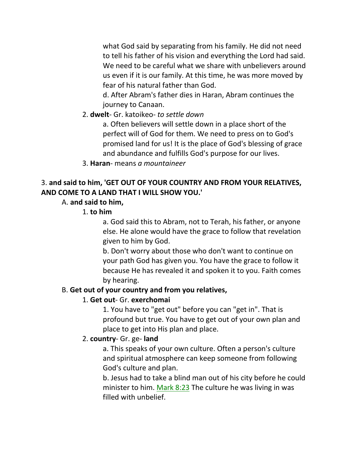what God said by separating from his family. He did not need to tell his father of his vision and everything the Lord had said. We need to be careful what we share with unbelievers around us even if it is our family. At this time, he was more moved by fear of his natural father than God.

d. After Abram's father dies in Haran, Abram continues the journey to Canaan.

2. **dwelt**- Gr. katoikeo- *to settle down*

a. Often believers will settle down in a place short of the perfect will of God for them. We need to press on to God's promised land for us! It is the place of God's blessing of grace and abundance and fulfills God's purpose for our lives.

3. **Haran**- means *a mountaineer*

# 3. **and said to him, 'GET OUT OF YOUR COUNTRY AND FROM YOUR RELATIVES, AND COME TO A LAND THAT I WILL SHOW YOU.'**

# A. **and said to him,**

1. **to him**

a. God said this to Abram, not to Terah, his father, or anyone else. He alone would have the grace to follow that revelation given to him by God.

b. Don't worry about those who don't want to continue on your path God has given you. You have the grace to follow it because He has revealed it and spoken it to you. Faith comes by hearing.

# B. **Get out of your country and from you relatives,**

# 1. **Get out**- Gr. **exerchomai**

1. You have to "get out" before you can "get in". That is profound but true. You have to get out of your own plan and place to get into His plan and place.

# 2. **country**- Gr. ge- **land**

a. This speaks of your own culture. Often a person's culture and spiritual atmosphere can keep someone from following God's culture and plan.

b. Jesus had to take a blind man out of his city before he could minister to him. Mark 8:23 The culture he was living in was filled with unbelief.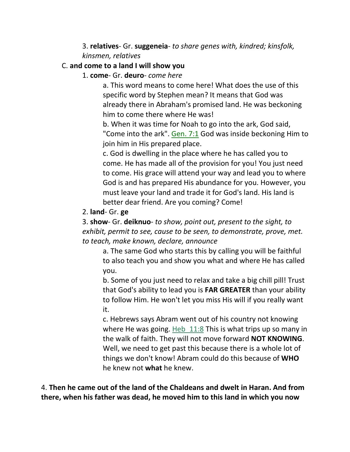3. **relatives**- Gr. **suggeneia**- *to share genes with, kindred; kinsfolk, kinsmen, relatives*

#### C. **and come to a land I will show you**

1. **come**- Gr. **deuro**- *come here*

a. This word means to come here! What does the use of this specific word by Stephen mean? It means that God was already there in Abraham's promised land. He was beckoning him to come there where He was!

b. When it was time for Noah to go into the ark, God said, "Come into the ark". Gen. 7:1 God was inside beckoning Him to join him in His prepared place.

c. God is dwelling in the place where he has called you to come. He has made all of the provision for you! You just need to come. His grace will attend your way and lead you to where God is and has prepared His abundance for you. However, you must leave your land and trade it for God's land. His land is better dear friend. Are you coming? Come!

#### 2. **land**- Gr. **ge**

3. **show**- Gr. **deiknuo**- *to show, point out, present to the sight, to exhibit, permit to see, cause to be seen, to demonstrate, prove, met. to teach, make known, declare, announce*

a. The same God who starts this by calling you will be faithful to also teach you and show you what and where He has called you.

b. Some of you just need to relax and take a big chill pill! Trust that God's ability to lead you is **FAR GREATER** than your ability to follow Him. He won't let you miss His will if you really want it.

c. Hebrews says Abram went out of his country not knowing where He was going. Heb  $11:8$  This is what trips up so many in the walk of faith. They will not move forward **NOT KNOWING**. Well, we need to get past this because there is a whole lot of things we don't know! Abram could do this because of **WHO** he knew not **what** he knew.

4. **Then he came out of the land of the Chaldeans and dwelt in Haran. And from there, when his father was dead, he moved him to this land in which you now**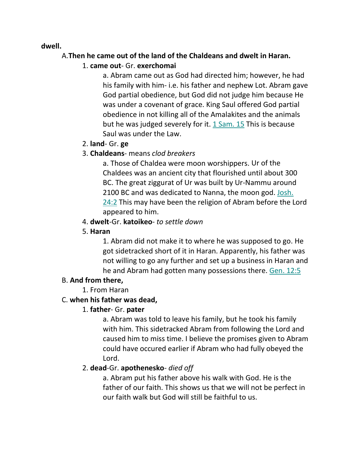#### **dwell.**

### A.**Then he came out of the land of the Chaldeans and dwelt in Haran.**

### 1. **came out**- Gr. **exerchomai**

a. Abram came out as God had directed him; however, he had his family with him- i.e. his father and nephew Lot. Abram gave God partial obedience, but God did not judge him because He was under a covenant of grace. King Saul offered God partial obedience in not killing all of the Amalakites and the animals but he was judged severely for it. 1 Sam. 15 This is because Saul was under the Law.

### 2. **land**- Gr. **ge**

# 3. **Chaldeans**- means *clod breakers*

a. Those of Chaldea were moon worshippers. Ur of the Chaldees was an ancient city that flourished until about 300 BC. The great ziggurat of Ur was built by Ur-Nammu around 2100 BC and was dedicated to Nanna, the moon god. Josh. 24:2 This may have been the religion of Abram before the Lord appeared to him.

# 4. **dwelt**-Gr. **katoikeo**- *to settle down*

# 5. **Haran**

1. Abram did not make it to where he was supposed to go. He got sidetracked short of it in Haran. Apparently, his father was not willing to go any further and set up a business in Haran and he and Abram had gotten many possessions there. Gen. 12:5

# B. **And from there,**

1. From Haran

# C. **when his father was dead,**

# 1. **father**- Gr. **pater**

a. Abram was told to leave his family, but he took his family with him. This sidetracked Abram from following the Lord and caused him to miss time. I believe the promises given to Abram could have occured earlier if Abram who had fully obeyed the Lord.

# 2. **dead**-Gr. **apothenesko**- *died off*

a. Abram put his father above his walk with God. He is the father of our faith. This shows us that we will not be perfect in our faith walk but God will still be faithful to us.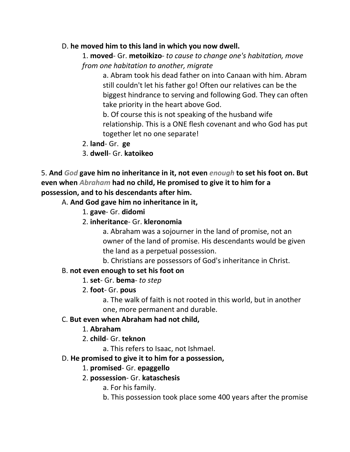#### D. **he moved him to this land in which you now dwell.**

1. **moved**- Gr. **metoikizo**- *to cause to change one's habitation, move from one habitation to another, migrate*

a. Abram took his dead father on into Canaan with him. Abram still couldn't let his father go! Often our relatives can be the biggest hindrance to serving and following God. They can often take priority in the heart above God.

b. Of course this is not speaking of the husband wife relationship. This is a ONE flesh covenant and who God has put together let no one separate!

- 2. **land** Gr. **ge**
- 3. **dwell** Gr. **katoikeo**

5. **And** *God* **gave him no inheritance in it, not even** *enough* **to set his foot on. But even when** *Abraham* **had no child, He promised to give it to him for a possession, and to his descendants after him.** 

A. **And God gave him no inheritance in it,**

- 1. **gave** Gr. **didomi**
- 2. **inheritance** Gr. **kleronomia**

a. Abraham was a sojourner in the land of promise, not an owner of the land of promise. His descendants would be given the land as a perpetual possession.

b. Christians are possessors of God's inheritance in Christ.

### B. **not even enough to set his foot on**

- 1. **set** Gr. **bema** *to step*
- 2. **foot** Gr. **pous**

a. The walk of faith is not rooted in this world, but in another one, more permanent and durable.

### C. **But even when Abraham had not child,**

- 1. **Abraham**
- 2. **child** Gr. **teknon**

a. This refers to Isaac, not Ishmael.

### D. **He promised to give it to him for a possession,**

### 1. **promised**- Gr. **epaggello**

### 2. **possession**- Gr. **kataschesis**

a. For his family.

b. This possession took place some 400 years after the promise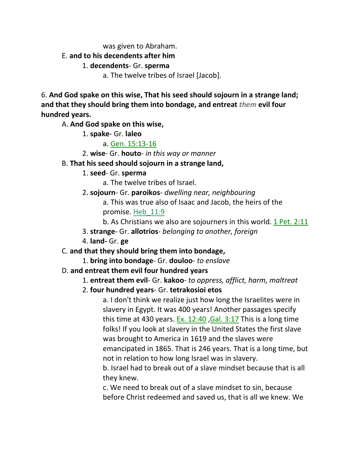was given to Abraham.

#### E. **and to his decendents after him**

#### 1. **decendents**- Gr. **sperma**

a. The twelve tribes of Israel [Jacob].

6. **And God spake on this wise, That his seed should sojourn in a strange land; and that they should bring them into bondage, and entreat** *them* **evil four hundred years.**

A. **And God spake on this wise,**

1. **spake**- Gr. **laleo**

#### a. Gen. 15:13-16

2. **wise**- Gr. **houto**- *in this way or manner*

#### B. **That his seed should sojourn in a strange land,**

- 1. **seed** Gr. **sperma**
	- a. The twelve tribes of Israel.
- 2. **sojourn** Gr. **paroikos** *dwelling near, neighbouring*

a. This was true also of Isaac and Jacob, the heirs of the promise. Heb\_11:9

- b. As Christians we also are sojourners in this world. 1 Pet. 2:11
- 3. **strange** Gr. **allotrios** *belonging to another, foreign*
- 4. **land-** Gr. **ge**

### C. **and that they should bring them into bondage,**

1. **bring into bondage**- Gr. **douloo**- *to enslave*

### D. **and entreat them evil four hundred years**

- 1. **entreat them evil** Gr. **kakoo** *to oppress, afflict, harm, maltreat*
- 2. **four hundred years** Gr. **tetrakosioi etos**

a. I don't think we realize just how long the Israelites were in slavery in Egypt. It was 400 years! Another passages specify this time at 430 years. Ex. 12:40 ,Gal. 3:17 This is a long time folks! If you look at slavery in the United States the first slave was brought to America in 1619 and the slaves were emancipated in 1865. That is 246 years. That is a long time, but not in relation to how long Israel was in slavery.

b. Israel had to break out of a slave mindset because that is all they knew.

c. We need to break out of a slave mindset to sin, because before Christ redeemed and saved us, that is all we knew. We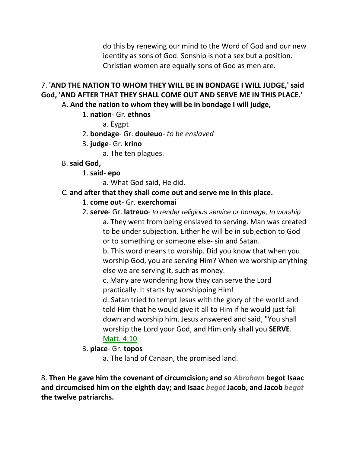do this by renewing our mind to the Word of God and our new identity as sons of God. Sonship is not a sex but a position. Christian women are equally sons of God as men are.

# 7. **'AND THE NATION TO WHOM THEY WILL BE IN BONDAGE I WILL JUDGE,' said God, 'AND AFTER THAT THEY SHALL COME OUT AND SERVE ME IN THIS PLACE.'**

A. **And the nation to whom they will be in bondage I will judge,**

### 1. **nation**- Gr. **ethnos**

a. Eygpt

#### 2. **bondage**- Gr. **douleuo**- *to be enslaved*

- 3. **judge** Gr. **krino**
	- a. The ten plagues.
- B. **said God,**
	- 1. **said epo**

a. What God said, He did.

### C. **and after that they shall come out and serve me in this place.**

#### 1. **come out**- Gr. **exerchomai**

2. **serve**- Gr. **latreuo**- *to render religious service or homage, to worship* a. They went from being enslaved to serving. Man was created to be under subjection. Either he will be in subjection to God or to something or someone else- sin and Satan.

b. This word means to worship. Did you know that when you worship God, you are serving Him? When we worship anything else we are serving it, such as money.

c. Many are wondering how they can serve the Lord practically. It starts by worshipping Him!

d. Satan tried to tempt Jesus with the glory of the world and told Him that he would give it all to Him if he would just fall down and worship him. Jesus answered and said, "You shall worship the Lord your God, and Him only shall you **SERVE**. Matt. 4:10

### 3. **place**- Gr. **topos**

a. The land of Canaan, the promised land.

8. **Then He gave him the covenant of circumcision; and so** *Abraham* **begot Isaac and circumcised him on the eighth day; and Isaac** *begot* **Jacob, and Jacob** *begot* **the twelve patriarchs.**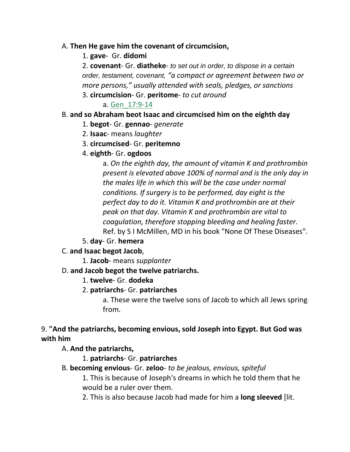#### A. **Then He gave him the covenant of circumcision,**

#### 1. **gave**- Gr. **didomi**

2. **covenant**- Gr. **diatheke**- *to set out in order, to dispose in a certain order, testament, covenant, "a compact or agreement between two or more persons," usually attended with seals, pledges, or sanctions*

#### 3. **circumcision**- Gr. **peritome**- *to cut around*

a. Gen\_17:9-14

### B. **and so Abraham beot Isaac and circumcised him on the eighth day**

- 1. **begot** Gr. **gennao** *generate*
- 2. **Isaac** means *laughter*
- 3. **circumcised** Gr. **peritemno**
- 4. **eighth** Gr. **ogdoos**

a. *On the eighth day, the amount of vitamin K and prothrombin present is elevated above 100% of normal and is the only day in the males life in which this will be the case under normal conditions. If surgery is to be performed, day eight is the perfect day to do it. Vitamin K and prothrombin are at their peak on that day. Vitamin K and prothrombin are vital to coagulation, therefore stopping bleeding and healing faster*. Ref. by S I McMillen, MD in his book "None Of These Diseases".

5. **day**- Gr. **hemera**

### C. **and Isaac begot Jacob**,

1. **Jacob**- means *supplanter*

### D. **and Jacob begot the twelve patriarchs.**

1. **twelve**- Gr. **dodeka**

### 2. **patriarchs**- Gr. **patriarches**

a. These were the twelve sons of Jacob to which all Jews spring from.

### 9. **"And the patriarchs, becoming envious, sold Joseph into Egypt. But God was with him**

### A. **And the patriarchs,**

### 1. **patriarchs**- Gr. **patriarches**

B. **becoming envious**- Gr. **zeloo**- *to be jealous, envious, spiteful*

1. This is because of Joseph's dreams in which he told them that he would be a ruler over them.

2. This is also because Jacob had made for him a **long sleeved** [lit.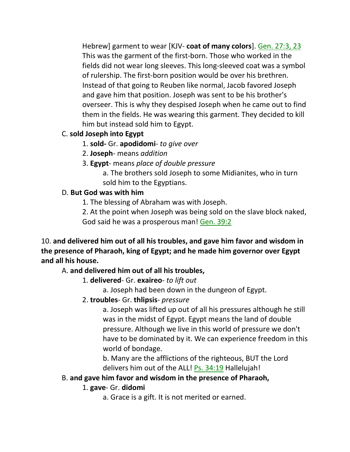Hebrew] garment to wear [KJV- **coat of many colors**]. Gen. 27:3, 23 This was the garment of the first-born. Those who worked in the fields did not wear long sleeves. This long-sleeved coat was a symbol of rulership. The first-born position would be over his brethren. Instead of that going to Reuben like normal, Jacob favored Joseph and gave him that position. Joseph was sent to be his brother's overseer. This is why they despised Joseph when he came out to find them in the fields. He was wearing this garment. They decided to kill him but instead sold him to Egypt.

# C. **sold Joseph into Egypt**

1. **sold-** Gr. **apodidomi**- *to give over*

2. **Joseph**- means *addition*

3. **Egypt**- means *place of double pressure*

a. The brothers sold Joseph to some Midianites, who in turn sold him to the Egyptians.

### D. **But God was with him**

1. The blessing of Abraham was with Joseph.

2. At the point when Joseph was being sold on the slave block naked, God said he was a prosperous man! Gen. 39:2

10. **and delivered him out of all his troubles, and gave him favor and wisdom in the presence of Pharaoh, king of Egypt; and he made him governor over Egypt and all his house.**

# A. **and delivered him out of all his troubles,**

1. **delivered**- Gr. **exaireo**- *to lift out*

a. Joseph had been down in the dungeon of Egypt.

2. **troubles**- Gr. **thlipsis**- *pressure*

a. Joseph was lifted up out of all his pressures although he still was in the midst of Egypt. Egypt means the land of double pressure. Although we live in this world of pressure we don't have to be dominated by it. We can experience freedom in this world of bondage.

b. Many are the afflictions of the righteous, BUT the Lord delivers him out of the ALL! Ps. 34:19 Hallelujah!

# B. **and gave him favor and wisdom in the presence of Pharaoh,**

### 1. **gave**- Gr. **didomi**

a. Grace is a gift. It is not merited or earned.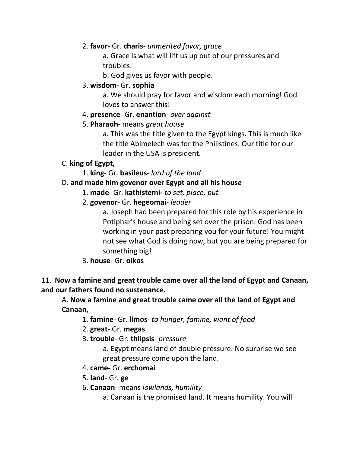#### 2. **favor**- Gr. **charis**- *unmerited favor, grace*

a. Grace is what will lift us up out of our pressures and troubles.

b. God gives us favor with people.

#### 3. **wisdom**- Gr. **sophia**

a. We should pray for favor and wisdom each morning! God loves to answer this!

#### 4. **presence**- Gr. **enantion**- *over against*

#### 5. **Pharaoh**- means *great house*

a. This was the title given to the Egypt kings. This is much like the title Abimelech was for the Philistines. Our title for our leader in the USA is president.

### C. **king of Egypt,**

1. **king**- Gr. **basileus**- *lord of the land*

### D. **and made him govenor over Egypt and all his house**

- 1. **made** Gr. **kathistemi-** *to set, place, put*
- 2. **govenor** Gr. **hegeomai** *leader*

a. Joseph had been prepared for this role by his experience in Potiphar's house and being set over the prison. God has been working in your past preparing you for your future! You might not see what God is doing now, but you are being prepared for something big!

3. **house**- Gr. **oikos**

### 11. **Now a famine and great trouble came over all the land of Egypt and Canaan, and our fathers found no sustenance.**

A. **Now a famine and great trouble came over all the land of Egypt and Canaan,**

- 1. **famine** Gr. **limos** *to hunger, famine, want of food*
- 2. **great** Gr. **megas**
- 3. **trouble** Gr. **thlipsis** *pressure*

a. Egypt means land of double pressure. No surprise we see great pressure come upon the land.

- 4. **came-** Gr. **erchomai**
- 5. **land** Gr. **ge**
- 6. **Canaan** means *lowlands, humility*

a. Canaan is the promised land. It means humility. You will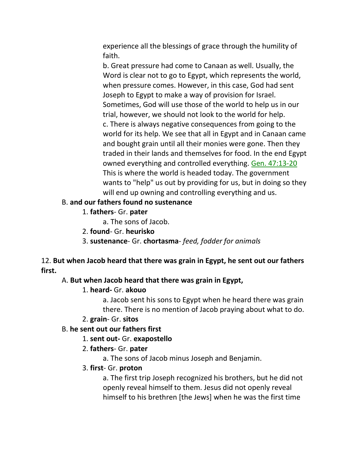experience all the blessings of grace through the humility of faith.

b. Great pressure had come to Canaan as well. Usually, the Word is clear not to go to Egypt, which represents the world, when pressure comes. However, in this case, God had sent Joseph to Egypt to make a way of provision for Israel. Sometimes, God will use those of the world to help us in our trial, however, we should not look to the world for help. c. There is always negative consequences from going to the world for its help. We see that all in Egypt and in Canaan came and bought grain until all their monies were gone. Then they traded in their lands and themselves for food. In the end Egypt owned everything and controlled everything. Gen. 47:13-20 This is where the world is headed today. The government wants to "help" us out by providing for us, but in doing so they will end up owning and controlling everything and us.

#### B. **and our fathers found no sustenance**

1. **fathers**- Gr. **pater**

a. The sons of Jacob.

- 2. **found** Gr. **heurisko**
- 3. **sustenance** Gr. **chortasma** *feed, fodder for animals*

### 12. **But when Jacob heard that there was grain in Egypt, he sent out our fathers first.**

### A. **But when Jacob heard that there was grain in Egypt,**

### 1. **heard-** Gr. **akouo**

a. Jacob sent his sons to Egypt when he heard there was grain there. There is no mention of Jacob praying about what to do.

#### 2. **grain**- Gr. **sitos**

### B. **he sent out our fathers first**

### 1. **sent out-** Gr. **exapostello**

### 2. **fathers**- Gr. **pater**

a. The sons of Jacob minus Joseph and Benjamin.

#### 3. **first**- Gr. **proton**

a. The first trip Joseph recognized his brothers, but he did not openly reveal himself to them. Jesus did not openly reveal himself to his brethren [the Jews] when he was the first time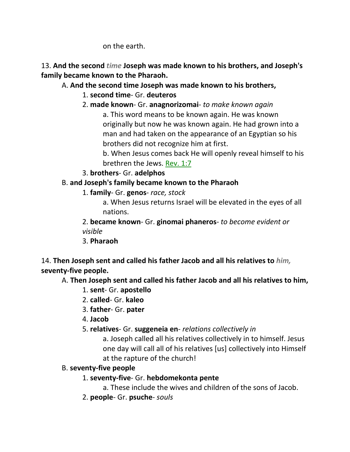on the earth.

13. **And the second** *time* **Joseph was made known to his brothers, and Joseph's family became known to the Pharaoh.** 

# A. **And the second time Joseph was made known to his brothers,**

- 1. **second time** Gr. **deuteros**
- 2. **made known** Gr. **anagnorizomai** *to make known again*

a. This word means to be known again. He was known originally but now he was known again. He had grown into a man and had taken on the appearance of an Egyptian so his brothers did not recognize him at first.

b. When Jesus comes back He will openly reveal himself to his brethren the Jews. Rev. 1:7

3. **brothers**- Gr. **adelphos**

# B. **and Joseph's family became known to the Pharaoh**

- 1. **family** Gr. **genos** *race, stock*
	- a. When Jesus returns Israel will be elevated in the eyes of all nations.

2. **became known**- Gr. **ginomai phaneros**- *to become evident or visible*

3. **Pharaoh**

14. **Then Joseph sent and called his father Jacob and all his relatives to** *him,* **seventy-five people.**

# A. **Then Joseph sent and called his father Jacob and all his relatives to him,**

- 1. **sent** Gr. **apostello**
- 2. **called** Gr. **kaleo**
- 3. **father** Gr. **pater**
- 4. **Jacob**
- 5. **relatives** Gr. **suggeneia en** *relations collectively in*

a. Joseph called all his relatives collectively in to himself. Jesus one day will call all of his relatives [us] collectively into Himself at the rapture of the church!

### B. **seventy-five people**

# 1. **seventy-five**- Gr. **hebdomekonta pente**

a. These include the wives and children of the sons of Jacob.

2. **people**- Gr. **psuche**- *souls*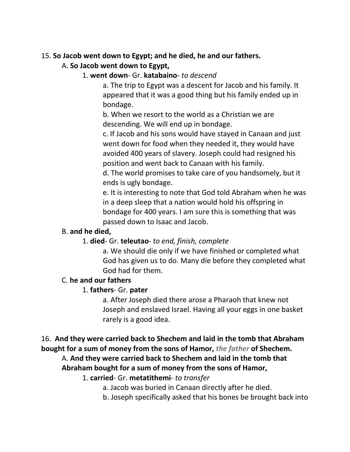### 15. **So Jacob went down to Egypt; and he died, he and our fathers.**

# A. **So Jacob went down to Egypt,**

#### 1. **went down**- Gr. **katabaino**- *to descend*

a. The trip to Egypt was a descent for Jacob and his family. It appeared that it was a good thing but his family ended up in bondage.

b. When we resort to the world as a Christian we are descending. We will end up in bondage.

c. If Jacob and his sons would have stayed in Canaan and just went down for food when they needed it, they would have avoided 400 years of slavery. Joseph could had resigned his position and went back to Canaan with his family.

d. The world promises to take care of you handsomely, but it ends is ugly bondage.

e. It is interesting to note that God told Abraham when he was in a deep sleep that a nation would hold his offspring in bondage for 400 years. I am sure this is something that was passed down to Isaac and Jacob.

### B. **and he died,**

### 1. **died**- Gr. **teleutao**- *to end, finish, complete*

a. We should die only if we have finished or completed what God has given us to do. Many die before they completed what God had for them.

### C. **he and our fathers**

### 1. **fathers**- Gr. **pater**

a. After Joseph died there arose a Pharaoh that knew not Joseph and enslaved Israel. Having all your eggs in one basket rarely is a good idea.

#### 16. **And they were carried back to Shechem and laid in the tomb that Abraham bought for a sum of money from the sons of Hamor,** *the father* **of Shechem.**

# A. **And they were carried back to Shechem and laid in the tomb that Abraham bought for a sum of money from the sons of Hamor,**

1. **carried**- Gr. **metatithemi**- *to transfer*

a. Jacob was buried in Canaan directly after he died.

b. Joseph specifically asked that his bones be brought back into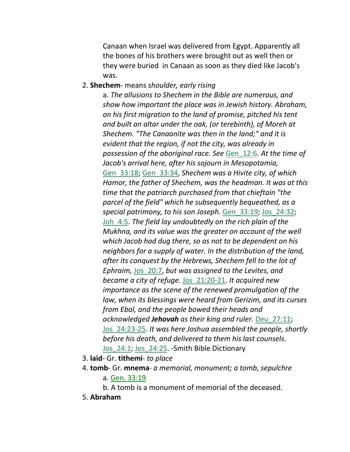Canaan when Israel was delivered from Egypt. Apparently all the bones of his brothers were brought out as well then or they were buried in Canaan as soon as they died like Jacob's was.

#### 2. **Shechem**- means *shoulder, early rising*

a. *The allusions to Shechem in the Bible are numerous, and show how important the place was in Jewish history. Abraham, on his first migration to the land of promise, pitched his tent and built an altar under the oak, (or terebinth), of Moreh at Shechem. "The Canaanite was then in the land;" and it is evident that the region, if not the city, was already in possession of the aboriginal race. See* Gen\_12:6. *At the time of Jacob's arrival here, after his sojourn in Mesopotamia,* Gen\_33:18; Gen\_33:34, *Shechem was a Hivite city, of which Hamor, the father of Shechem, was the headman. It was at this time that the patriarch purchased from that chieftain "the parcel of the field" which he subsequently bequeathed, as a special patrimony, to his son Joseph*. Gen\_33:19; Jos\_24:32; Joh\_4:5. *The field lay undoubtedly on the rich plain of the Mukhna, and its value was the greater on account of the well which Jacob had dug there, so as not to be dependent on his neighbors for a supply of water. In the distribution of the land, after its conquest by the Hebrews, Shechem fell to the lot of Ephraim,* Jos\_20:7, *but was assigned to the Levites, and became a city of refuge.* Jos\_21:20-21. *It acquired new importance as the scene of the renewed promulgation of the law, when its blessings were heard from Gerizim, and its curses from Ebal, and the people bowed their heads and acknowledged Jehovah as their king and ruler.* Deu\_27:11; Jos\_24:23-25. *It was here Joshua assembled the people, shortly before his death, and delivered to them his last counsels*. Jos\_24:1; Jos\_24:25. -Smith Bible Dictionary

- 3. **laid** Gr. **tithemi** *to place*
- 4. **tomb** Gr. **mnema** *a memorial, monument; a tomb, sepulchre* a. Gen. 33:19
	- b. A tomb is a monument of memorial of the deceased.
- 5. **Abraham**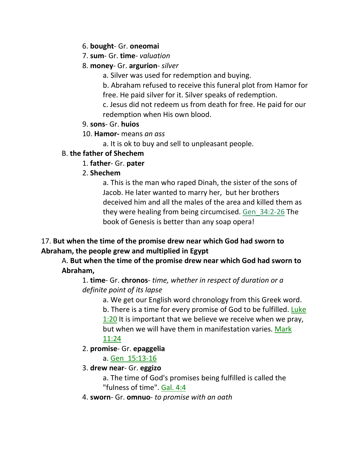- 6. **bought** Gr. **oneomai**
- 7. **sum** Gr. **time** *valuation*
- 8. **money** Gr. **argurion** *silver*
	- a. Silver was used for redemption and buying.
	- b. Abraham refused to receive this funeral plot from Hamor for free. He paid silver for it. Silver speaks of redemption.
	- c. Jesus did not redeem us from death for free. He paid for our redemption when His own blood.
- 9. **sons** Gr. **huios**
- 10. **Hamor-** means *an ass*
	- a. It is ok to buy and sell to unpleasant people.

# B. **the father of Shechem**

- 1. **father** Gr. **pater**
- 2. **Shechem**

a. This is the man who raped Dinah, the sister of the sons of Jacob. He later wanted to marry her, but her brothers deceived him and all the males of the area and killed them as they were healing from being circumcised. Gen\_34:2-26 The book of Genesis is better than any soap opera!

# 17. **But when the time of the promise drew near which God had sworn to Abraham, the people grew and multiplied in Egypt**

# A. **But when the time of the promise drew near which God had sworn to Abraham,**

# 1. **time**- Gr. **chronos**- *time, whether in respect of duration or a definite point of its lapse*

a. We get our English word chronology from this Greek word. b. There is a time for every promise of God to be fulfilled. Luke 1:20 It is important that we believe we receive when we pray, but when we will have them in manifestation varies. Mark 11:24

# 2. **promise**- Gr. **epaggelia**

- a. Gen\_15:13-16
- 3. **drew near** Gr. **eggizo**
	- a. The time of God's promises being fulfilled is called the "fulness of time". Gal. 4:4
- 4. **sworn** Gr. **omnuo** *to promise with an oath*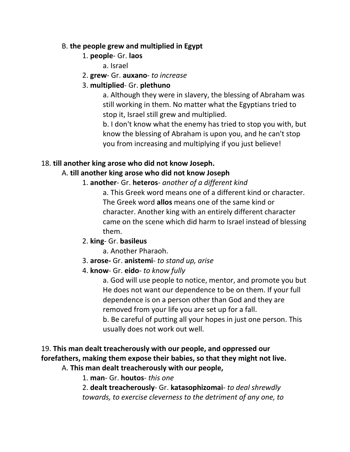#### B. **the people grew and multiplied in Egypt**

### 1. **people**- Gr. **laos**

a. Israel

2. **grew**- Gr. **auxano**- *to increase*

### 3. **multiplied**- Gr. **plethuno**

a. Although they were in slavery, the blessing of Abraham was still working in them. No matter what the Egyptians tried to stop it, Israel still grew and multiplied.

b. I don't know what the enemy has tried to stop you with, but know the blessing of Abraham is upon you, and he can't stop you from increasing and multiplying if you just believe!

### 18. **till another king arose who did not know Joseph.**

### A. **till another king arose who did not know Joseph**

### 1. **another**- Gr. **heteros**- *another of a different kind*

a. This Greek word means one of a different kind or character. The Greek word **allos** means one of the same kind or character. Another king with an entirely different character came on the scene which did harm to Israel instead of blessing them.

### 2. **king**- Gr. **basileus**

- a. Another Pharaoh.
- 3. **arose-** Gr. **anistemi** *to stand up, arise*
- 4. **know** Gr. **eido** *to know fully*

a. God will use people to notice, mentor, and promote you but He does not want our dependence to be on them. If your full dependence is on a person other than God and they are removed from your life you are set up for a fall. b. Be careful of putting all your hopes in just one person. This usually does not work out well.

# 19. **This man dealt treacherously with our people, and oppressed our forefathers, making them expose their babies, so that they might not live.**

A. **This man dealt treacherously with our people,**

1. **man**- Gr. **houtos**- *this one*

2. **dealt treacherously**- Gr. **katasophizomai**- *to deal shrewdly towards, to exercise cleverness to the detriment of any one, to*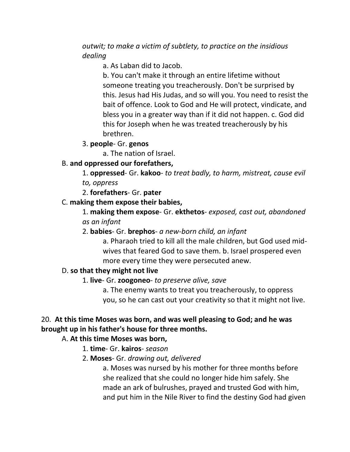#### *outwit; to make a victim of subtlety, to practice on the insidious dealing*

a. As Laban did to Jacob.

b. You can't make it through an entire lifetime without someone treating you treacherously. Don't be surprised by this. Jesus had His Judas, and so will you. You need to resist the bait of offence. Look to God and He will protect, vindicate, and bless you in a greater way than if it did not happen. c. God did this for Joseph when he was treated treacherously by his brethren.

#### 3. **people**- Gr. **genos**

a. The nation of Israel.

### B. **and oppressed our forefathers,**

1. **oppressed**- Gr. **kakoo**- *to treat badly, to harm, mistreat, cause evil to, oppress*

2. **forefathers**- Gr. **pater**

### C. **making them expose their babies,**

1. **making them expose**- Gr. **ekthetos**- *exposed, cast out, abandoned as an infant*

### 2. **babies**- Gr. **brephos**- *a new-born child, an infant*

a. Pharaoh tried to kill all the male children, but God used midwives that feared God to save them. b. Israel prospered even more every time they were persecuted anew.

### D. **so that they might not live**

#### 1. **live**- Gr. **zoogoneo**- *to preserve alive, save*

a. The enemy wants to treat you treacherously, to oppress you, so he can cast out your creativity so that it might not live.

# 20. **At this time Moses was born, and was well pleasing to God; and he was brought up in his father's house for three months.**

### A. **At this time Moses was born,**

- 1. **time** Gr. **kairos** *season*
- 2. **Moses** Gr. *drawing out, delivered*

a. Moses was nursed by his mother for three months before she realized that she could no longer hide him safely. She made an ark of bulrushes, prayed and trusted God with him, and put him in the Nile River to find the destiny God had given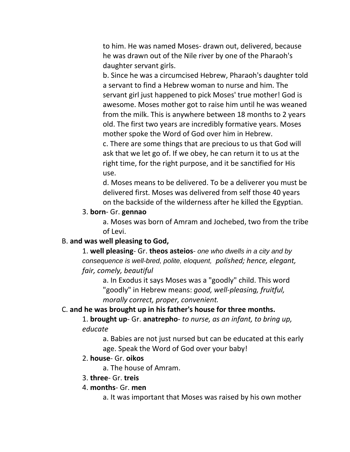to him. He was named Moses- drawn out, delivered, because he was drawn out of the Nile river by one of the Pharaoh's daughter servant girls.

b. Since he was a circumcised Hebrew, Pharaoh's daughter told a servant to find a Hebrew woman to nurse and him. The servant girl just happened to pick Moses' true mother! God is awesome. Moses mother got to raise him until he was weaned from the milk. This is anywhere between 18 months to 2 years old. The first two years are incredibly formative years. Moses mother spoke the Word of God over him in Hebrew.

c. There are some things that are precious to us that God will ask that we let go of. If we obey, he can return it to us at the right time, for the right purpose, and it be sanctified for His use.

d. Moses means to be delivered. To be a deliverer you must be delivered first. Moses was delivered from self those 40 years on the backside of the wilderness after he killed the Egyptian.

#### 3. **born**- Gr. **gennao**

a. Moses was born of Amram and Jochebed, two from the tribe of Levi.

#### B. **and was well pleasing to God,**

1. **well pleasing**- Gr. **theos asteios**- *one who dwells in a city and by consequence is well-bred, polite, eloquent, polished; hence, elegant, fair, comely, beautiful*

a. In Exodus it says Moses was a "goodly" child. This word "goodly" in Hebrew means: *good, well-pleasing, fruitful, morally correct, proper, convenient.* 

#### C. **and he was brought up in his father's house for three months.**

1. **brought up**- Gr. **anatrepho**- *to nurse, as an infant, to bring up, educate*

a. Babies are not just nursed but can be educated at this early age. Speak the Word of God over your baby!

#### 2. **house**- Gr. **oikos**

a. The house of Amram.

#### 3. **three**- Gr. **treis**

#### 4. **months**- Gr. **men**

a. It was important that Moses was raised by his own mother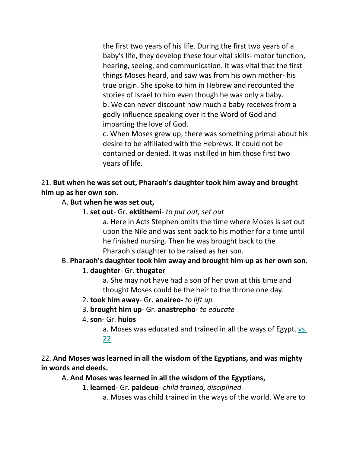the first two years of his life. During the first two years of a baby's life, they develop these four vital skills- motor function, hearing, seeing, and communication. It was vital that the first things Moses heard, and saw was from his own mother- his true origin. She spoke to him in Hebrew and recounted the stories of Israel to him even though he was only a baby. b. We can never discount how much a baby receives from a godly influence speaking over it the Word of God and imparting the love of God.

c. When Moses grew up, there was something primal about his desire to be affiliated with the Hebrews. It could not be contained or denied. It was instilled in him those first two years of life.

#### 21. **But when he was set out, Pharaoh's daughter took him away and brought him up as her own son.**

#### A. **But when he was set out,**

1. **set out**- Gr. **ektithemi**- *to put out, set out*

a. Here in Acts Stephen omits the time where Moses is set out upon the Nile and was sent back to his mother for a time until he finished nursing. Then he was brought back to the Pharaoh's daughter to be raised as her son.

# B. **Pharaoh's daughter took him away and brought him up as her own son.**

#### 1. **daughter**- Gr. **thugater**

a. She may not have had a son of her own at this time and thought Moses could be the heir to the throne one day.

#### 2. **took him away**- Gr. **anaireo-** *to lift up*

- 3. **brought him up** Gr. **anastrepho** *to educate*
- 4. **son** Gr. **huios**

a. Moses was educated and trained in all the ways of Egypt. vs. 22

# 22. **And Moses was learned in all the wisdom of the Egyptians, and was mighty in words and deeds.**

A. **And Moses was learned in all the wisdom of the Egyptians,**

- 1. **learned** Gr. **paideuo** *child trained, disciplined*
	- a. Moses was child trained in the ways of the world. We are to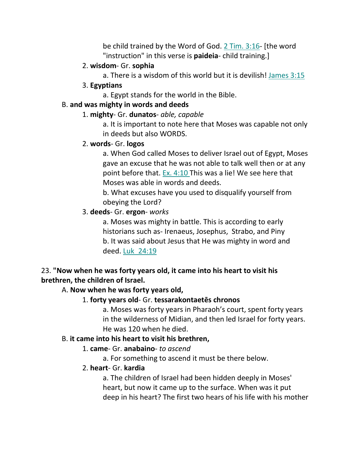be child trained by the Word of God. 2 Tim. 3:16- [the word "instruction" in this verse is **paideia**- child training.]

#### 2. **wisdom**- Gr. **sophia**

a. There is a wisdom of this world but it is devilish! James 3:15

3. **Egyptians**

a. Egypt stands for the world in the Bible.

#### B. **and was mighty in words and deeds**

#### 1. **mighty**- Gr. **dunatos**- *able, capable*

a. It is important to note here that Moses was capable not only in deeds but also WORDS.

#### 2. **words**- Gr. **logos**

a. When God called Moses to deliver Israel out of Egypt, Moses gave an excuse that he was not able to talk well then or at any point before that. Ex. 4:10 This was a lie! We see here that Moses was able in words and deeds.

b. What excuses have you used to disqualify yourself from obeying the Lord?

### 3. **deeds**- Gr. **ergon**- *works*

a. Moses was mighty in battle. This is according to early historians such as- Irenaeus, Josephus, Strabo, and Piny b. It was said about Jesus that He was mighty in word and deed. Luk\_24:19

# 23. **"Now when he was forty years old, it came into his heart to visit his brethren, the children of Israel.**

### A. **Now when he was forty years old,**

### 1. **forty years old**- Gr. **tessarakontaetēs chronos**

a. Moses was forty years in Pharaoh's court, spent forty years in the wilderness of Midian, and then led Israel for forty years. He was 120 when he died.

### B. **it came into his heart to visit his brethren,**

### 1. **came**- Gr. **anabaino**- *to ascend*

a. For something to ascend it must be there below.

### 2. **heart**- Gr. **kardia**

a. The children of Israel had been hidden deeply in Moses' heart, but now it came up to the surface. When was it put deep in his heart? The first two hears of his life with his mother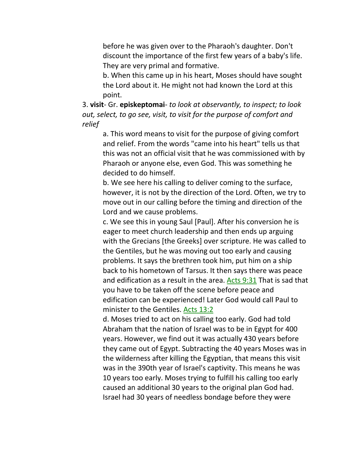before he was given over to the Pharaoh's daughter. Don't discount the importance of the first few years of a baby's life. They are very primal and formative.

b. When this came up in his heart, Moses should have sought the Lord about it. He might not had known the Lord at this point.

3. **visit**- Gr. **episkeptomai**- *to look at observantly, to inspect; to look out, select, to go see, visit, to visit for the purpose of comfort and relief*

a. This word means to visit for the purpose of giving comfort and relief. From the words "came into his heart" tells us that this was not an official visit that he was commissioned with by Pharaoh or anyone else, even God. This was something he decided to do himself.

b. We see here his calling to deliver coming to the surface, however, it is not by the direction of the Lord. Often, we try to move out in our calling before the timing and direction of the Lord and we cause problems.

c. We see this in young Saul [Paul]. After his conversion he is eager to meet church leadership and then ends up arguing with the Grecians [the Greeks] over scripture. He was called to the Gentiles, but he was moving out too early and causing problems. It says the brethren took him, put him on a ship back to his hometown of Tarsus. It then says there was peace and edification as a result in the area. Acts 9:31 That is sad that you have to be taken off the scene before peace and edification can be experienced! Later God would call Paul to minister to the Gentiles. Acts 13:2

d. Moses tried to act on his calling too early. God had told Abraham that the nation of Israel was to be in Egypt for 400 years. However, we find out it was actually 430 years before they came out of Egypt. Subtracting the 40 years Moses was in the wilderness after killing the Egyptian, that means this visit was in the 390th year of Israel's captivity. This means he was 10 years too early. Moses trying to fulfill his calling too early caused an additional 30 years to the original plan God had. Israel had 30 years of needless bondage before they were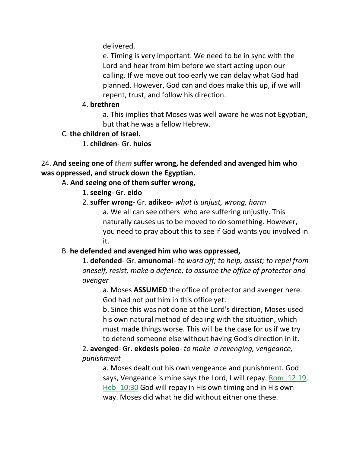delivered.

e. Timing is very important. We need to be in sync with the Lord and hear from him before we start acting upon our calling. If we move out too early we can delay what God had planned. However, God can and does make this up, if we will repent, trust, and follow his direction.

#### 4. **brethren**

a. This implies that Moses was well aware he was not Egyptian, but that he was a fellow Hebrew.

# C. **the children of Israel.**

1. **children**- Gr. **huios**

24. **And seeing one of** *them* **suffer wrong, he defended and avenged him who was oppressed, and struck down the Egyptian.** 

# A. **And seeing one of them suffer wrong,**

- 1. **seeing** Gr. **eido**
- 2. **suffer wrong** Gr. **adikeo** *what is unjust, wrong, harm* a. We all can see others who are suffering unjustly. This naturally causes us to be moved to do something. However, you need to pray about this to see if God wants you involved in it.

# B. **he defended and avenged him who was oppressed,**

1. **defended**- Gr. **amunomai**- *to ward off; to help, assist; to repel from oneself, resist, make a defence; to assume the office of protector and avenger*

a. Moses **ASSUMED** the office of protector and avenger here. God had not put him in this office yet.

b. Since this was not done at the Lord's direction, Moses used his own natural method of dealing with the situation, which must made things worse. This will be the case for us if we try to defend someone else without having God's direction in it.

2. **avenged**- Gr. **ekdesis poieo**- *to make a revenging, vengeance, punishment*

a. Moses dealt out his own vengeance and punishment. God says, Vengeance is mine says the Lord, I will repay. Rom\_12:19, Heb 10:30 God will repay in His own timing and in His own way. Moses did what he did without either one these.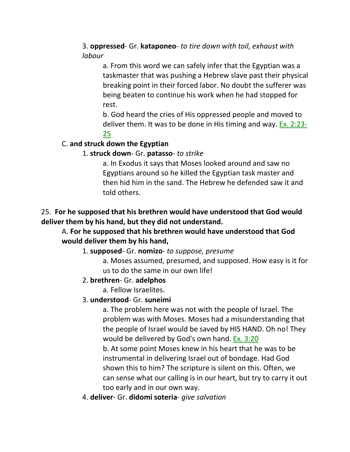### 3. **oppressed**- Gr. **kataponeo**- *to tire down with toil, exhaust with labour*

a. From this word we can safely infer that the Egyptian was a taskmaster that was pushing a Hebrew slave past their physical breaking point in their forced labor. No doubt the sufferer was being beaten to continue his work when he had stopped for rest.

b. God heard the cries of His oppressed people and moved to deliver them. It was to be done in His timing and way. Ex. 2:23- 25

# C. **and struck down the Egyptian**

# 1. **struck down**- Gr. **patasso**- *to strike*

a. In Exodus it says that Moses looked around and saw no Egyptians around so he killed the Egyptian task master and then hid him in the sand. The Hebrew he defended saw it and told others.

### 25. **For he supposed that his brethren would have understood that God would deliver them by his hand, but they did not understand.**

#### A. **For he supposed that his brethren would have understood that God would deliver them by his hand,**

#### 1. **supposed**- Gr. **nomizo**- *to suppose, presume*

a. Moses assumed, presumed, and supposed. How easy is it for us to do the same in our own life!

#### 2. **brethren**- Gr. **adelphos**

a. Fellow Israelites.

### 3. **understood**- Gr. **suneimi**

a. The problem here was not with the people of Israel. The problem was with Moses. Moses had a misunderstanding that the people of Israel would be saved by HIS HAND. Oh no! They would be delivered by God's own hand. Ex. 3:20

b. At some point Moses knew in his heart that he was to be instrumental in delivering Israel out of bondage. Had God shown this to him? The scripture is silent on this. Often, we can sense what our calling is in our heart, but try to carry it out too early and in our own way.

#### 4. **deliver**- Gr. **didomi soteria**- *give salvation*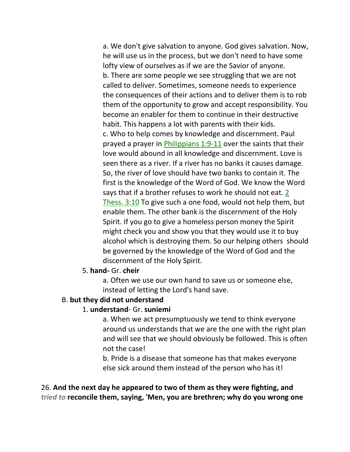a. We don't give salvation to anyone. God gives salvation. Now, he will use us in the process, but we don't need to have some lofty view of ourselves as if we are the Savior of anyone. b. There are some people we see struggling that we are not called to deliver. Sometimes, someone needs to experience the consequences of their actions and to deliver them is to rob them of the opportunity to grow and accept responsibility. You become an enabler for them to continue in their destructive habit. This happens a lot with parents with their kids. c. Who to help comes by knowledge and discernment. Paul prayed a prayer in *Philippians 1:9-11* over the saints that their love would abound in all knowledge and discernment. Love is seen there as a river. If a river has no banks it causes damage. So, the river of love should have two banks to contain it. The first is the knowledge of the Word of God. We know the Word says that if a brother refuses to work he should not eat. 2 Thess. 3:10 To give such a one food, would not help them, but enable them. The other bank is the discernment of the Holy Spirit. If you go to give a homeless person money the Spirit might check you and show you that they would use it to buy alcohol which is destroying them. So our helping others should be governed by the knowledge of the Word of God and the discernment of the Holy Spirit.

#### 5. **hand-** Gr. **cheir**

a. Often we use our own hand to save us or someone else, instead of letting the Lord's hand save.

#### B. **but they did not understand**

#### 1. **understand**- Gr. **suniemi**

a. When we act presumptuously we tend to think everyone around us understands that we are the one with the right plan and will see that we should obviously be followed. This is often not the case!

b. Pride is a disease that someone has that makes everyone else sick around them instead of the person who has it!

26. **And the next day he appeared to two of them as they were fighting, and**  *tried to* **reconcile them, saying, 'Men, you are brethren; why do you wrong one**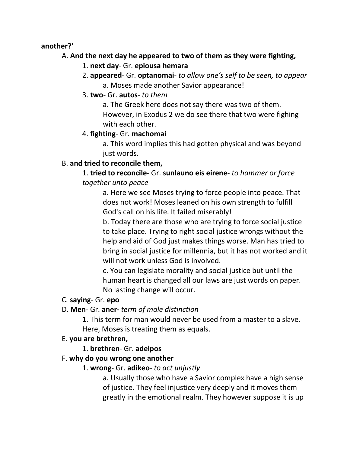#### **another?'**

### A. **And the next day he appeared to two of them as they were fighting,**

- 1. **next day** Gr. **epiousa hemara**
- 2. **appeared** Gr. **optanomai** *to allow one's self to be seen, to appear* a. Moses made another Savior appearance!
- 3. **two** Gr. **autos** *to them*

a. The Greek here does not say there was two of them. However, in Exodus 2 we do see there that two were fighing with each other.

# 4. **fighting**- Gr. **machomai**

a. This word implies this had gotten physical and was beyond just words.

# B. **and tried to reconcile them,**

1. **tried to reconcile**- Gr. **sunlauno eis eirene**- *to hammer or force together unto peace*

a. Here we see Moses trying to force people into peace. That does not work! Moses leaned on his own strength to fulfill God's call on his life. It failed miserably!

b. Today there are those who are trying to force social justice to take place. Trying to right social justice wrongs without the help and aid of God just makes things worse. Man has tried to bring in social justice for millennia, but it has not worked and it will not work unless God is involved.

c. You can legislate morality and social justice but until the human heart is changed all our laws are just words on paper. No lasting change will occur.

### C. **saying**- Gr. **epo**

D. **Men**- Gr. **aner-** *term of male distinction*

1. This term for man would never be used from a master to a slave. Here, Moses is treating them as equals.

### E. **you are brethren,**

### 1. **brethren**- Gr. **adelpos**

### F. **why do you wrong one another**

#### 1. **wrong**- Gr. **adikeo**- *to act unjustly*

a. Usually those who have a Savior complex have a high sense of justice. They feel injustice very deeply and it moves them greatly in the emotional realm. They however suppose it is up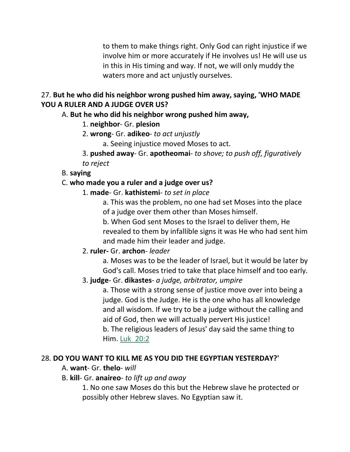to them to make things right. Only God can right injustice if we involve him or more accurately if He involves us! He will use us in this in His timing and way. If not, we will only muddy the waters more and act unjustly ourselves.

### 27. **But he who did his neighbor wrong pushed him away, saying, 'WHO MADE YOU A RULER AND A JUDGE OVER US?**

### A. **But he who did his neighbor wrong pushed him away,**

- 1. **neighbor** Gr. **plesion**
- 2. **wrong** Gr. **adikeo** *to act unjustly*
	- a. Seeing injustice moved Moses to act.
- 3. **pushed away** Gr. **apotheomai** *to shove; to push off, figuratively to reject*

#### B. **saying**

### C. **who made you a ruler and a judge over us?**

- 1. **made** Gr. **kathistemi** *to set in place*
	- a. This was the problem, no one had set Moses into the place of a judge over them other than Moses himself.

b. When God sent Moses to the Israel to deliver them, He revealed to them by infallible signs it was He who had sent him and made him their leader and judge.

### 2. **ruler-** Gr. **archon**- *leader*

a. Moses was to be the leader of Israel, but it would be later by God's call. Moses tried to take that place himself and too early.

#### 3. **judge**- Gr. **dikastes**- *a judge, arbitrator, umpire*

a. Those with a strong sense of justice move over into being a judge. God is the Judge. He is the one who has all knowledge and all wisdom. If we try to be a judge without the calling and aid of God, then we will actually pervert His justice! b. The religious leaders of Jesus' day said the same thing to Him. Luk\_20:2

#### 28. **DO YOU WANT TO KILL ME AS YOU DID THE EGYPTIAN YESTERDAY?'**

A. **want**- Gr. **thelo**- *will*

#### B. **kill**- Gr. **anaireo**- *to lift up and away*

1. No one saw Moses do this but the Hebrew slave he protected or possibly other Hebrew slaves. No Egyptian saw it.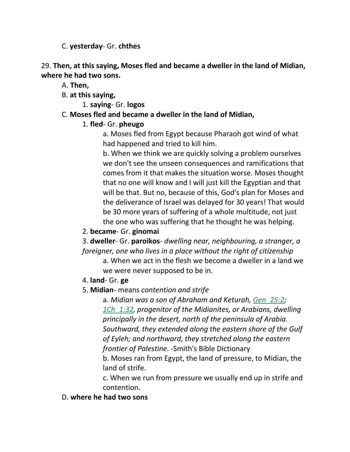C. **yesterday**- Gr. **chthes**

29. **Then, at this saying, Moses fled and became a dweller in the land of Midian, where he had two sons.** 

A. **Then,**

B. **at this saying,**

1. **saying**- Gr. **logos**

# C. **Moses fled and became a dweller in the land of Midian,**

# 1. **fled**- Gr. **pheugo**

a. Moses fled from Egypt because Pharaoh got wind of what had happened and tried to kill him.

b. When we think we are quickly solving a problem ourselves we don't see the unseen consequences and ramifications that comes from it that makes the situation worse. Moses thought that no one will know and I will just kill the Egyptian and that will be that. But no, because of this, God's plan for Moses and the deliverance of Israel was delayed for 30 years! That would be 30 more years of suffering of a whole multitude, not just the one who was suffering that he thought he was helping.

2. **became**- Gr. **ginomai**

3. **dweller**- Gr. **paroikos**- *dwelling near, neighbouring, a stranger, a foreigner, one who lives in a place without the right of citizenship*

a. When we act in the flesh we become a dweller in a land we we were never supposed to be in.

- 4. **land** Gr. **ge**
- 5. **Midian** means *contention and strife*

a. *Midian was a son of Abraham and Keturah, Gen\_25:2; 1Ch\_1:32, progenitor of the Midianites, or Arabians, dwelling principally in the desert, north of the peninsula of Arabia. Southward, they extended along the eastern shore of the Gulf of Eyleh; and northward, they stretched along the eastern frontier of Palestine*. -Smith's Bible Dictionary

b. Moses ran from Egypt, the land of pressure, to Midian, the land of strife.

c. When we run from pressure we usually end up in strife and contention.

D. **where he had two sons**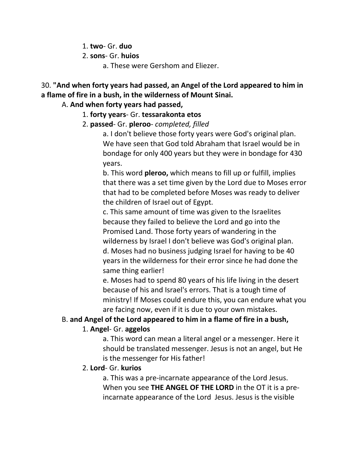1. **two**- Gr. **duo**

2. **sons**- Gr. **huios**

a. These were Gershom and Eliezer.

30. **"And when forty years had passed, an Angel of the Lord appeared to him in a flame of fire in a bush, in the wilderness of Mount Sinai.** 

A. **And when forty years had passed,**

1. **forty years**- Gr. **tessarakonta etos**

2. **passed**- Gr. **pleroo**- *completed, filled*

a. I don't believe those forty years were God's original plan. We have seen that God told Abraham that Israel would be in bondage for only 400 years but they were in bondage for 430 years.

b. This word **pleroo,** which means to fill up or fulfill, implies that there was a set time given by the Lord due to Moses error that had to be completed before Moses was ready to deliver the children of Israel out of Egypt.

c. This same amount of time was given to the Israelites because they failed to believe the Lord and go into the Promised Land. Those forty years of wandering in the wilderness by Israel I don't believe was God's original plan. d. Moses had no business judging Israel for having to be 40 years in the wilderness for their error since he had done the same thing earlier!

e. Moses had to spend 80 years of his life living in the desert because of his and Israel's errors. That is a tough time of ministry! If Moses could endure this, you can endure what you are facing now, even if it is due to your own mistakes.

#### B. **and Angel of the Lord appeared to him in a flame of fire in a bush,**

#### 1. **Angel**- Gr. **aggelos**

a. This word can mean a literal angel or a messenger. Here it should be translated messenger. Jesus is not an angel, but He is the messenger for His father!

#### 2. **Lord**- Gr. **kurios**

a. This was a pre-incarnate appearance of the Lord Jesus. When you see **THE ANGEL OF THE LORD** in the OT it is a preincarnate appearance of the Lord Jesus. Jesus is the visible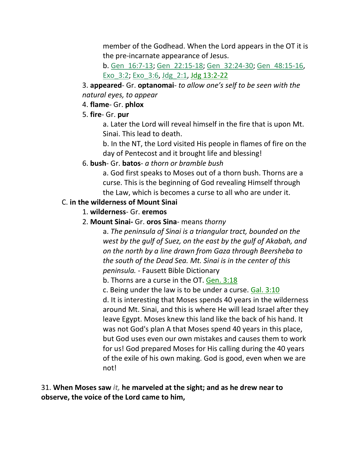member of the Godhead. When the Lord appears in the OT it is the pre-incarnate appearance of Jesus.

b. Gen\_16:7-13; Gen\_22:15-18; Gen\_32:24-30; Gen\_48:15-16, Exo\_3:2; Exo\_3:6, Jdg\_2:1, Jdg 13:2-22

3. **appeared**- Gr. **optanomai**- *to allow one's self to be seen with the natural eyes, to appear*

#### 4. **flame**- Gr. **phlox**

### 5. **fire**- Gr. **pur**

a. Later the Lord will reveal himself in the fire that is upon Mt. Sinai. This lead to death.

b. In the NT, the Lord visited His people in flames of fire on the day of Pentecost and it brought life and blessing!

### 6. **bush**- Gr. **batos**- *a thorn or bramble bush*

a. God first speaks to Moses out of a thorn bush. Thorns are a curse. This is the beginning of God revealing Himself through the Law, which is becomes a curse to all who are under it.

### C. **in the wilderness of Mount Sinai**

#### 1. **wilderness**- Gr. **eremos**

#### 2. **Mount Sinai-** Gr. **oros Sina**- means *thorny*

a. *The peninsula of Sinai is a triangular tract, bounded on the west by the gulf of Suez, on the east by the gulf of Akabah, and on the north by a line drawn from Gaza through Beersheba to the south of the Dead Sea. Mt. Sinai is in the center of this peninsula.* - Fausett Bible Dictionary

b. Thorns are a curse in the OT. Gen. 3:18

c. Being under the law is to be under a curse. Gal. 3:10

d. It is interesting that Moses spends 40 years in the wilderness around Mt. Sinai, and this is where He will lead Israel after they leave Egypt. Moses knew this land like the back of his hand. It was not God's plan A that Moses spend 40 years in this place, but God uses even our own mistakes and causes them to work for us! God prepared Moses for His calling during the 40 years of the exile of his own making. God is good, even when we are not!

31. **When Moses saw** *it,* **he marveled at the sight; and as he drew near to observe, the voice of the Lord came to him,**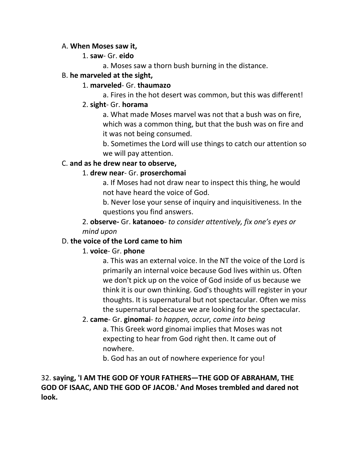#### A. **When Moses saw it,**

#### 1. **saw**- Gr. **eido**

a. Moses saw a thorn bush burning in the distance.

#### B. **he marveled at the sight,**

#### 1. **marveled**- Gr. **thaumazo**

a. Fires in the hot desert was common, but this was different!

#### 2. **sight**- Gr. **horama**

a. What made Moses marvel was not that a bush was on fire, which was a common thing, but that the bush was on fire and it was not being consumed.

b. Sometimes the Lord will use things to catch our attention so we will pay attention.

### C. **and as he drew near to observe,**

### 1. **drew near**- Gr. **proserchomai**

a. If Moses had not draw near to inspect this thing, he would not have heard the voice of God.

b. Never lose your sense of inquiry and inquisitiveness. In the questions you find answers.

2. **observe-** Gr. **katanoeo**- *to consider attentively, fix one's eyes or mind upon*

### D. **the voice of the Lord came to him**

### 1. **voice**- Gr. **phone**

a. This was an external voice. In the NT the voice of the Lord is primarily an internal voice because God lives within us. Often we don't pick up on the voice of God inside of us because we think it is our own thinking. God's thoughts will register in your thoughts. It is supernatural but not spectacular. Often we miss the supernatural because we are looking for the spectacular.

2. **came**- Gr. **ginomai**- *to happen, occur, come into being* a. This Greek word ginomai implies that Moses was not expecting to hear from God right then. It came out of nowhere.

b. God has an out of nowhere experience for you!

### 32. **saying, 'I AM THE GOD OF YOUR FATHERS—THE GOD OF ABRAHAM, THE GOD OF ISAAC, AND THE GOD OF JACOB.' And Moses trembled and dared not look.**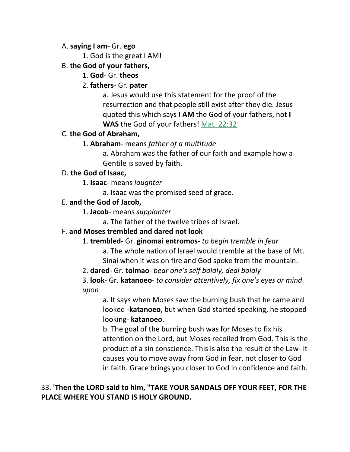#### A. **saying I am**- Gr. **ego**

1. God is the great I AM!

### B. **the God of your fathers,**

1. **God**- Gr. **theos**

# 2. **fathers**- Gr. **pater**

a. Jesus would use this statement for the proof of the resurrection and that people still exist after they die. Jesus quoted this which says **I AM** the God of your fathers, not **I WAS** the God of your fathers! Mat\_22:32

### C. **the God of Abraham,**

# 1. **Abraham**- means *father of a multitude*

a. Abraham was the father of our faith and example how a Gentile is saved by faith.

#### D. **the God of Isaac,**

1. **Isaac**- means *laughter*

a. Isaac was the promised seed of grace.

### E. **and the God of Jacob,**

- 1. **Jacob** means *supplanter*
	- a. The father of the twelve tribes of Israel.

### F. **and Moses trembled and dared not look**

- 1. **trembled** Gr. **ginomai entromos** *to begin tremble in fear*
	- a. The whole nation of Israel would tremble at the base of Mt. Sinai when it was on fire and God spoke from the mountain.
- 2. **dared** Gr. **tolmao** *bear one's self boldly, deal boldly*

# 3. **look**- Gr. **katanoeo**- *to consider attentively, fix one's eyes or mind upon*

a. It says when Moses saw the burning bush that he came and looked -**katanoeo**, but when God started speaking, he stopped looking- **katanoeo**.

b. The goal of the burning bush was for Moses to fix his attention on the Lord, but Moses recoiled from God. This is the product of a sin conscience. This is also the result of the Law- it causes you to move away from God in fear, not closer to God in faith. Grace brings you closer to God in confidence and faith.

# 33. **'Then the LORD said to him, "TAKE YOUR SANDALS OFF YOUR FEET, FOR THE PLACE WHERE YOU STAND IS HOLY GROUND.**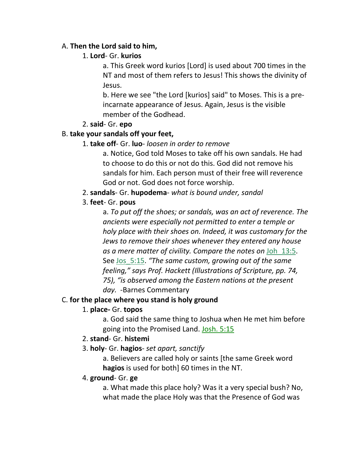#### A. **Then the Lord said to him,**

#### 1. **Lord**- Gr. **kurios**

a. This Greek word kurios [Lord] is used about 700 times in the NT and most of them refers to Jesus! This shows the divinity of Jesus.

b. Here we see "the Lord [kurios] said" to Moses. This is a preincarnate appearance of Jesus. Again, Jesus is the visible member of the Godhead.

#### 2. **said**- Gr. **epo**

### B. **take your sandals off your feet,**

### 1. **take off**- Gr. **luo**- *loosen in order to remove*

a. Notice, God told Moses to take off his own sandals. He had to choose to do this or not do this. God did not remove his sandals for him. Each person must of their free will reverence God or not. God does not force worship.

2. **sandals**- Gr. **hupodema**- *what is bound under, sandal*

# 3. **feet**- Gr. **pous**

a. *To put off the shoes; or sandals, was an act of reverence. The ancients were especially not permitted to enter a temple or holy place with their shoes on. Indeed, it was customary for the Jews to remove their shoes whenever they entered any house as a mere matter of civility. Compare the notes on* Joh\_13:5. See Jos\_5:15. *"The same custom, growing out of the same feeling," says Prof. Hackett (Illustrations of Scripture, pp. 74, 75), "is observed among the Eastern nations at the present day.* -Barnes Commentary

### C. **for the place where you stand is holy ground**

### 1. **place-** Gr. **topos**

a. God said the same thing to Joshua when He met him before going into the Promised Land. Josh. 5:15

# 2. **stand**- Gr. **histemi**

3. **holy**- Gr. **hagios**- *set apart, sanctify*

a. Believers are called holy or saints [the same Greek word **hagios** is used for both] 60 times in the NT.

### 4. **ground**- Gr. **ge**

a. What made this place holy? Was it a very special bush? No, what made the place Holy was that the Presence of God was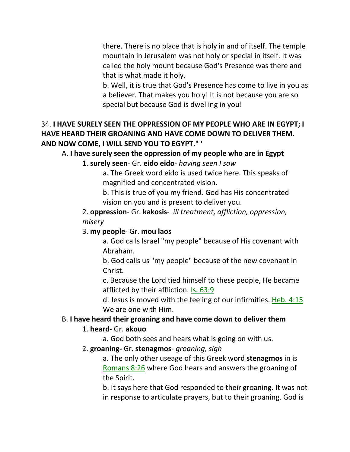there. There is no place that is holy in and of itself. The temple mountain in Jerusalem was not holy or special in itself. It was called the holy mount because God's Presence was there and that is what made it holy.

b. Well, it is true that God's Presence has come to live in you as a believer. That makes you holy! It is not because you are so special but because God is dwelling in you!

# 34. **I HAVE SURELY SEEN THE OPPRESSION OF MY PEOPLE WHO ARE IN EGYPT; I HAVE HEARD THEIR GROANING AND HAVE COME DOWN TO DELIVER THEM. AND NOW COME, I WILL SEND YOU TO EGYPT." '**

### A. **I have surely seen the oppression of my people who are in Egypt**

#### 1. **surely seen**- Gr. **eido eido**- *having seen I saw*

a. The Greek word eido is used twice here. This speaks of magnified and concentrated vision.

b. This is true of you my friend. God has His concentrated vision on you and is present to deliver you.

2. **oppression**- Gr. **kakosis**- *ill treatment, affliction, oppression, misery*

### 3. **my people**- Gr. **mou laos**

a. God calls Israel "my people" because of His covenant with Abraham.

b. God calls us "my people" because of the new covenant in Christ.

c. Because the Lord tied himself to these people, He became afflicted by their affliction. Is. 63:9

d. Jesus is moved with the feeling of our infirmities. Heb. 4:15 We are one with Him.

### B. **I have heard their groaning and have come down to deliver them**

### 1. **heard**- Gr. **akouo**

- a. God both sees and hears what is going on with us.
- 2. **groaning-** Gr. **stenagmos** *groaning, sigh*

a. The only other useage of this Greek word **stenagmos** in is Romans 8:26 where God hears and answers the groaning of the Spirit.

b. It says here that God responded to their groaning. It was not in response to articulate prayers, but to their groaning. God is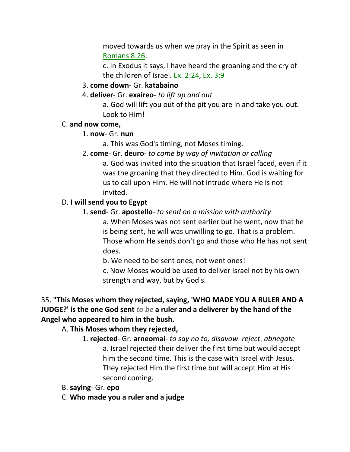moved towards us when we pray in the Spirit as seen in Romans 8:26.

c. In Exodus it says, I have heard the groaning and the cry of the children of Israel. Ex. 2:24, Ex. 3:9

3. **come down**- Gr. **katabaino**

#### 4. **deliver**- Gr. **exaireo**- *to lift up and out*

a. God will lift you out of the pit you are in and take you out. Look to Him!

#### C. **and now come,**

- 1. **now** Gr. **nun**
	- a. This was God's timing, not Moses timing.
- 2. **come** Gr. **deuro** *to come by way of invitation or calling*

a. God was invited into the situation that Israel faced, even if it was the groaning that they directed to Him. God is waiting for us to call upon Him. He will not intrude where He is not invited.

#### D. **I will send you to Egypt**

1. **send**- Gr. **apostello**- *to send on a mission with authority*

a. When Moses was not sent earlier but he went, now that he is being sent, he will was unwilling to go. That is a problem. Those whom He sends don't go and those who He has not sent does.

b. We need to be sent ones, not went ones!

c. Now Moses would be used to deliver Israel not by his own strength and way, but by God's.

# 35. **"This Moses whom they rejected, saying, 'WHO MADE YOU A RULER AND A JUDGE?' is the one God sent** *to be* **a ruler and a deliverer by the hand of the Angel who appeared to him in the bush.**

### A. **This Moses whom they rejected,**

1. **rejected**- Gr. **arneomai**- *to say no to, disavow*, *reject*, *abnegate* a. Israel rejected their deliver the first time but would accept him the second time. This is the case with Israel with Jesus. They rejected Him the first time but will accept Him at His second coming.

- B. **saying** Gr. **epo**
- C. **Who made you a ruler and a judge**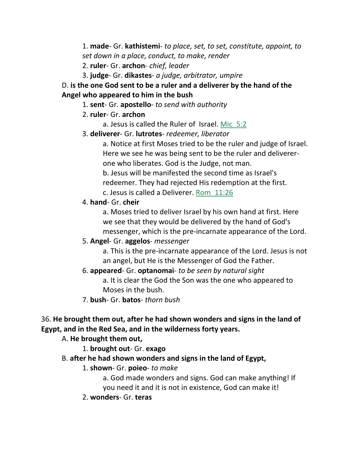1. **made**- Gr. **kathistemi**- *to place, set, to set, constitute, appoint, to set down in a place, conduct, to make, render*

2. **ruler**- Gr. **archon**- *chief, leader*

3. **judge**- Gr. **dikastes**- *a judge, arbitrator, umpire*

D. **is the one God sent to be a ruler and a deliverer by the hand of the Angel who appeared to him in the bush**

1. **sent**- Gr. **apostello**- *to send with authority*

- 2. **ruler** Gr. **archon**
	- a. Jesus is called the Ruler of Israel. Mic\_5:2
- 3. **deliverer** Gr. **lutrotes** *redeemer, liberator*

a. Notice at first Moses tried to be the ruler and judge of Israel. Here we see he was being sent to be the ruler and delivererone who liberates. God is the Judge, not man.

b. Jesus will be manifested the second time as Israel's

redeemer. They had rejected His redemption at the first.

c. Jesus is called a Deliverer. Rom\_11:26

#### 4. **hand**- Gr. **cheir**

a. Moses tried to deliver Israel by his own hand at first. Here we see that they would be delivered by the hand of God's messenger, which is the pre-incarnate appearance of the Lord.

### 5. **Angel**- Gr. **aggelos**- *messenger*

a. This is the pre-incarnate appearance of the Lord. Jesus is not an angel, but He is the Messenger of God the Father.

### 6. **appeared**- Gr. **optanomai**- *to be seen by natural sight*

a. It is clear the God the Son was the one who appeared to Moses in the bush.

7. **bush**- Gr. **batos**- *thorn bush*

### 36. **He brought them out, after he had shown wonders and signs in the land of Egypt, and in the Red Sea, and in the wilderness forty years.**

A. **He brought them out,**

- 1. **brought out** Gr. **exago**
- B. **after he had shown wonders and signs in the land of Egypt,**
	- 1. **shown** Gr. **poieo** *to make*

a. God made wonders and signs. God can make anything! If you need it and it is not in existence, God can make it!

2. **wonders**- Gr. **teras**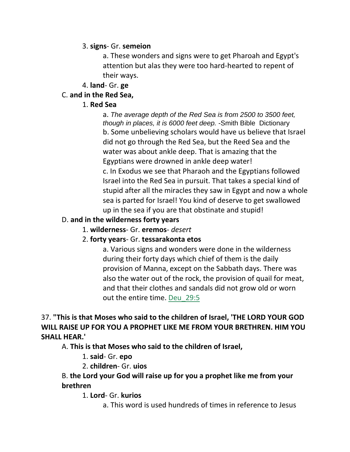#### 3. **signs**- Gr. **semeion**

a. These wonders and signs were to get Pharoah and Egypt's attention but alas they were too hard-hearted to repent of their ways.

#### 4. **land**- Gr. **ge**

#### C. **and in the Red Sea,**

#### 1. **Red Sea**

a. *The average depth of the Red Sea is from 2500 to 3500 feet, though in places, it is 6000 feet deep.* -Smith Bible Dictionary b. Some unbelieving scholars would have us believe that Israel did not go through the Red Sea, but the Reed Sea and the water was about ankle deep. That is amazing that the Egyptians were drowned in ankle deep water! c. In Exodus we see that Pharaoh and the Egyptians followed Israel into the Red Sea in pursuit. That takes a special kind of stupid after all the miracles they saw in Egypt and now a whole sea is parted for Israel! You kind of deserve to get swallowed up in the sea if you are that obstinate and stupid!

#### D. **and in the wilderness forty years**

#### 1. **wilderness**- Gr. **eremos**- *desert*

### 2. **forty years**- Gr. **tessarakonta etos**

a. Various signs and wonders were done in the wilderness during their forty days which chief of them is the daily provision of Manna, except on the Sabbath days. There was also the water out of the rock, the provision of quail for meat, and that their clothes and sandals did not grow old or worn out the entire time. Deu\_29:5

37. **"This is that Moses who said to the children of Israel, 'THE LORD YOUR GOD WILL RAISE UP FOR YOU A PROPHET LIKE ME FROM YOUR BRETHREN. HIM YOU SHALL HEAR.'** 

A. **This is that Moses who said to the children of Israel,**

1. **said**- Gr. **epo**

2. **children**- Gr. **uios**

### B. **the Lord your God will raise up for you a prophet like me from your brethren**

1. **Lord**- Gr. **kurios**

a. This word is used hundreds of times in reference to Jesus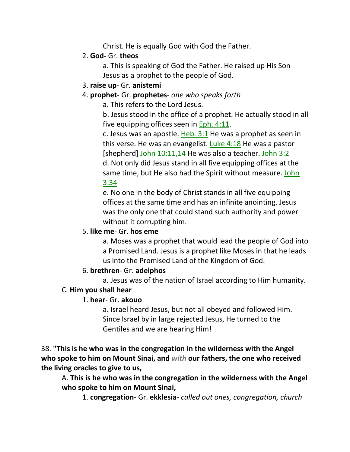Christ. He is equally God with God the Father.

# 2. **God-** Gr. **theos**

a. This is speaking of God the Father. He raised up His Son Jesus as a prophet to the people of God.

### 3. **raise up**- Gr. **anistemi**

# 4. **prophet**- Gr. **prophetes**- *one who speaks forth*

a. This refers to the Lord Jesus.

b. Jesus stood in the office of a prophet. He actually stood in all five equipping offices seen in Eph. 4:11.

c. Jesus was an apostle. Heb.  $3:1$  He was a prophet as seen in this verse. He was an evangelist. Luke  $4:18$  He was a pastor [shepherd] John 10:11,14 He was also a teacher. John 3:2 d. Not only did Jesus stand in all five equipping offices at the same time, but He also had the Spirit without measure. John 3:34

e. No one in the body of Christ stands in all five equipping offices at the same time and has an infinite anointing. Jesus was the only one that could stand such authority and power without it corrupting him.

# 5. **like me**- Gr. **hos eme**

a. Moses was a prophet that would lead the people of God into a Promised Land. Jesus is a prophet like Moses in that he leads us into the Promised Land of the Kingdom of God.

# 6. **brethren**- Gr. **adelphos**

a. Jesus was of the nation of Israel according to Him humanity.

# C. **Him you shall hear**

# 1. **hear**- Gr. **akouo**

a. Israel heard Jesus, but not all obeyed and followed Him. Since Israel by in large rejected Jesus, He turned to the Gentiles and we are hearing Him!

38. **"This is he who was in the congregation in the wilderness with the Angel who spoke to him on Mount Sinai, and** *with* **our fathers, the one who received the living oracles to give to us,** 

A. **This is he who was in the congregation in the wilderness with the Angel who spoke to him on Mount Sinai,**

1. **congregation**- Gr. **ekklesia**- *called out ones, congregation, church*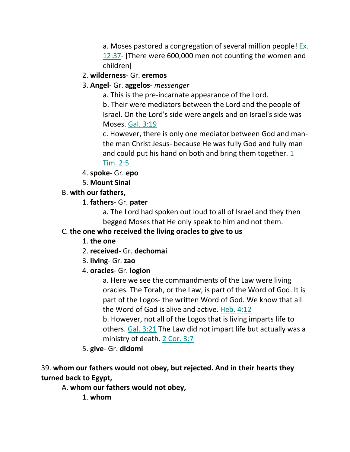a. Moses pastored a congregation of several million people! Ex. 12:37- [There were 600,000 men not counting the women and children]

### 2. **wilderness**- Gr. **eremos**

3. **Angel**- Gr. **aggelos**- *messenger*

a. This is the pre-incarnate appearance of the Lord.

b. Their were mediators between the Lord and the people of Israel. On the Lord's side were angels and on Israel's side was Moses. Gal. 3:19

c. However, there is only one mediator between God and manthe man Christ Jesus- because He was fully God and fully man and could put his hand on both and bring them together. 1

### Tim. 2:5

- 4. **spoke** Gr. **epo**
- 5. **Mount Sinai**
- B. **with our fathers,**
	- 1. **fathers** Gr. **pater**

a. The Lord had spoken out loud to all of Israel and they then begged Moses that He only speak to him and not them.

# C. **the one who received the living oracles to give to us**

- 1. **the one**
- 2. **received** Gr. **dechomai**
- 3. **living** Gr. **zao**
- 4. **oracles** Gr. **logion**

a. Here we see the commandments of the Law were living oracles. The Torah, or the Law, is part of the Word of God. It is part of the Logos- the written Word of God. We know that all the Word of God is alive and active. Heb. 4:12

b. However, not all of the Logos that is living imparts life to others. Gal. 3:21 The Law did not impart life but actually was a ministry of death. 2 Cor. 3:7

5. **give**- Gr. **didomi**

# 39. **whom our fathers would not obey, but rejected. And in their hearts they turned back to Egypt,**

A. **whom our fathers would not obey,**

1. **whom**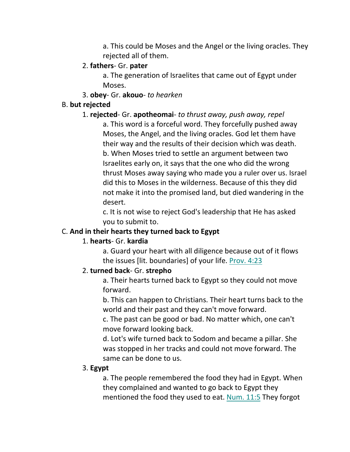a. This could be Moses and the Angel or the living oracles. They rejected all of them.

#### 2. **fathers**- Gr. **pater**

a. The generation of Israelites that came out of Egypt under Moses.

#### 3. **obey**- Gr. **akouo**- *to hearken*

#### B. **but rejected**

#### 1. **rejected**- Gr. **apotheomai**- *to thrust away, push away, repel*

a. This word is a forceful word. They forcefully pushed away Moses, the Angel, and the living oracles. God let them have their way and the results of their decision which was death. b. When Moses tried to settle an argument between two Israelites early on, it says that the one who did the wrong thrust Moses away saying who made you a ruler over us. Israel did this to Moses in the wilderness. Because of this they did not make it into the promised land, but died wandering in the desert.

c. It is not wise to reject God's leadership that He has asked you to submit to.

#### C. **And in their hearts they turned back to Egypt**

### 1. **hearts**- Gr. **kardia**

a. Guard your heart with all diligence because out of it flows the issues [lit. boundaries] of your life. Prov. 4:23

#### 2. **turned back**- Gr. **strepho**

a. Their hearts turned back to Egypt so they could not move forward.

b. This can happen to Christians. Their heart turns back to the world and their past and they can't move forward.

c. The past can be good or bad. No matter which, one can't move forward looking back.

d. Lot's wife turned back to Sodom and became a pillar. She was stopped in her tracks and could not move forward. The same can be done to us.

#### 3. **Egypt**

a. The people remembered the food they had in Egypt. When they complained and wanted to go back to Egypt they mentioned the food they used to eat. Num. 11:5 They forgot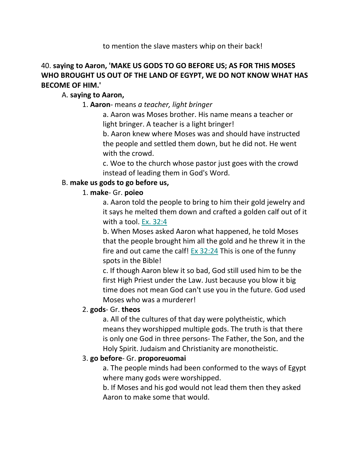#### to mention the slave masters whip on their back!

# 40. **saying to Aaron, 'MAKE US GODS TO GO BEFORE US; AS FOR THIS MOSES WHO BROUGHT US OUT OF THE LAND OF EGYPT, WE DO NOT KNOW WHAT HAS BECOME OF HIM.'**

#### A. **saying to Aaron,**

1. **Aaron**- means *a teacher, light bringer*

a. Aaron was Moses brother. His name means a teacher or light bringer. A teacher is a light bringer!

b. Aaron knew where Moses was and should have instructed the people and settled them down, but he did not. He went with the crowd.

c. Woe to the church whose pastor just goes with the crowd instead of leading them in God's Word.

#### B. **make us gods to go before us,**

#### 1. **make**- Gr. **poieo**

a. Aaron told the people to bring to him their gold jewelry and it says he melted them down and crafted a golden calf out of it with a tool. Ex. 32:4

b. When Moses asked Aaron what happened, he told Moses that the people brought him all the gold and he threw it in the fire and out came the calf! Ex  $32:24$  This is one of the funny spots in the Bible!

c. If though Aaron blew it so bad, God still used him to be the first High Priest under the Law. Just because you blow it big time does not mean God can't use you in the future. God used Moses who was a murderer!

#### 2. **gods**- Gr. **theos**

a. All of the cultures of that day were polytheistic, which means they worshipped multiple gods. The truth is that there is only one God in three persons- The Father, the Son, and the Holy Spirit. Judaism and Christianity are monotheistic.

#### 3. **go before**- Gr. **proporeuomai**

a. The people minds had been conformed to the ways of Egypt where many gods were worshipped.

b. If Moses and his god would not lead them then they asked Aaron to make some that would.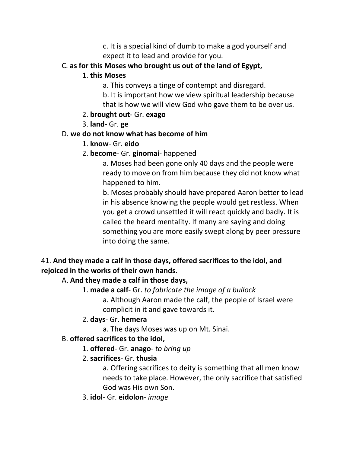c. It is a special kind of dumb to make a god yourself and expect it to lead and provide for you.

# C. **as for this Moses who brought us out of the land of Egypt,**

### 1. **this Moses**

- a. This conveys a tinge of contempt and disregard.
- b. It is important how we view spiritual leadership because that is how we will view God who gave them to be over us.

# 2. **brought out**- Gr. **exago**

3. **land-** Gr. **ge**

# D. **we do not know what has become of him**

1. **know**- Gr. **eido**

# 2. **become**- Gr. **ginomai**- happened

a. Moses had been gone only 40 days and the people were ready to move on from him because they did not know what happened to him.

b. Moses probably should have prepared Aaron better to lead in his absence knowing the people would get restless. When you get a crowd unsettled it will react quickly and badly. It is called the heard mentality. If many are saying and doing something you are more easily swept along by peer pressure into doing the same.

# 41. **And they made a calf in those days, offered sacrifices to the idol, and rejoiced in the works of their own hands.**

# A. **And they made a calf in those days,**

- 1. **made a calf** Gr. *to fabricate the image of a bullock*
	- a. Although Aaron made the calf, the people of Israel were complicit in it and gave towards it.

# 2. **days**- Gr. **hemera**

a. The days Moses was up on Mt. Sinai.

# B. **offered sacrifices to the idol,**

1. **offered**- Gr. **anago**- *to bring up*

# 2. **sacrifices**- Gr. **thusia**

a. Offering sacrifices to deity is something that all men know needs to take place. However, the only sacrifice that satisfied God was His own Son.

3. **idol**- Gr. **eidolon**- *image*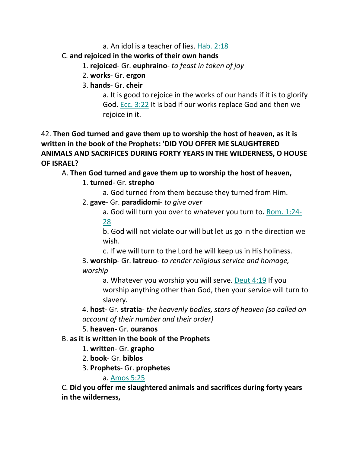a. An idol is a teacher of lies. Hab. 2:18

# C. **and rejoiced in the works of their own hands**

- 1. **rejoiced** Gr. **euphraino** *to feast in token of joy*
- 2. **works** Gr. **ergon**
- 3. **hands** Gr. **cheir**

a. It is good to rejoice in the works of our hands if it is to glorify God. Ecc. 3:22 It is bad if our works replace God and then we rejoice in it.

# 42. **Then God turned and gave them up to worship the host of heaven, as it is written in the book of the Prophets: 'DID YOU OFFER ME SLAUGHTERED ANIMALS AND SACRIFICES DURING FORTY YEARS IN THE WILDERNESS, O HOUSE OF ISRAEL?**

# A. **Then God turned and gave them up to worship the host of heaven,**

# 1. **turned**- Gr. **strepho**

- a. God turned from them because they turned from Him.
- 2. **gave** Gr. **paradidomi** *to give over*
	- a. God will turn you over to whatever you turn to. Rom. 1:24- 28

b. God will not violate our will but let us go in the direction we wish.

c. If we will turn to the Lord he will keep us in His holiness.

3. **worship**- Gr. **latreuo**- *to render religious service and homage, worship*

a. Whatever you worship you will serve. Deut 4:19 If you worship anything other than God, then your service will turn to slavery.

4. **host**- Gr. **stratia**- *the heavenly bodies, stars of heaven (so called on account of their number and their order)*

### 5. **heaven**- Gr. **ouranos**

# B. **as it is written in the book of the Prophets**

- 1. **written** Gr. **grapho**
- 2. **book** Gr. **biblos**
- 3. **Prophets** Gr. **prophetes**

# a. Amos 5:25

C. **Did you offer me slaughtered animals and sacrifices during forty years in the wilderness,**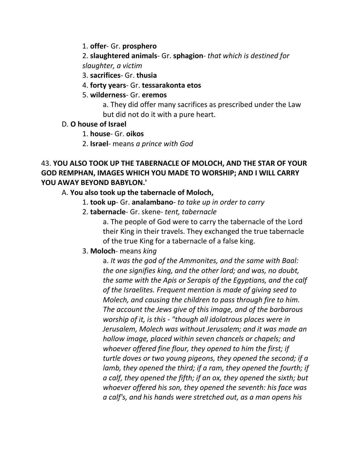1. **offer**- Gr. **prosphero**

2. **slaughtered animals**- Gr. **sphagion**- *that which is destined for slaughter, a victim*

3. **sacrifices**- Gr. **thusia**

- 4. **forty years** Gr. **tessarakonta etos**
- 5. **wilderness** Gr. **eremos**

a. They did offer many sacrifices as prescribed under the Law but did not do it with a pure heart.

#### D. **O house of Israel**

- 1. **house** Gr. **oikos**
- 2. **Israel** means *a prince with God*

# 43. **YOU ALSO TOOK UP THE TABERNACLE OF MOLOCH, AND THE STAR OF YOUR GOD REMPHAN, IMAGES WHICH YOU MADE TO WORSHIP; AND I WILL CARRY YOU AWAY BEYOND BABYLON.'**

# A. **You also took up the tabernacle of Moloch,**

- 1. **took up** Gr. **analambano** *to take up in order to carry*
- 2. **tabernacle** Gr. skene- *tent, tabernacle*

a. The people of God were to carry the tabernacle of the Lord their King in their travels. They exchanged the true tabernacle of the true King for a tabernacle of a false king.

### 3. **Moloch**- means *king*

a. *It was the god of the Ammonites, and the same with Baal: the one signifies king, and the other lord; and was, no doubt, the same with the Apis or Serapis of the Egyptians, and the calf of the Israelites. Frequent mention is made of giving seed to Molech, and causing the children to pass through fire to him. The account the Jews give of this image, and of the barbarous worship of it, is this - "though all idolatrous places were in Jerusalem, Molech was without Jerusalem; and it was made an hollow image, placed within seven chancels or chapels; and whoever offered fine flour, they opened to him the first; if turtle doves or two young pigeons, they opened the second; if a lamb, they opened the third; if a ram, they opened the fourth; if a calf, they opened the fifth; if an ox, they opened the sixth; but whoever offered his son, they opened the seventh: his face was a calf's, and his hands were stretched out, as a man opens his*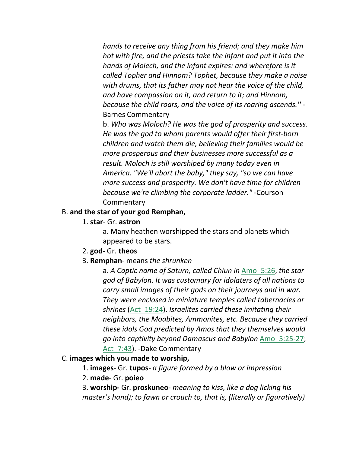*hands to receive any thing from his friend; and they make him hot with fire, and the priests take the infant and put it into the hands of Molech, and the infant expires: and wherefore is it called Topher and Hinnom? Tophet, because they make a noise with drums, that its father may not hear the voice of the child, and have compassion on it, and return to it; and Hinnom, because the child roars, and the voice of its roaring ascends.'' -* Barnes Commentary

b. *Who was Moloch? He was the god of prosperity and success. He was the god to whom parents would offer their first-born children and watch them die, believing their families would be more prosperous and their businesses more successful as a result. Moloch is still worshiped by many today even in America. "We'll abort the baby," they say, "so we can have more success and prosperity. We don't have time for children because we're climbing the corporate ladder."* -Courson **Commentary** 

### B. **and the star of your god Remphan,**

1. **star**- Gr. **astron**

a. Many heathen worshipped the stars and planets which appeared to be stars.

- 2. **god** Gr. **theos**
- 3. **Remphan** means *the shrunken*

a. *A Coptic name of Saturn, called Chiun in* Amo\_5:26, *the star god of Babylon. It was customary for idolaters of all nations to carry small images of their gods on their journeys and in war. They were enclosed in miniature temples called tabernacles or shrines* (Act\_19:24). *Israelites carried these imitating their neighbors, the Moabites, Ammonites, etc. Because they carried these idols God predicted by Amos that they themselves would go into captivity beyond Damascus and Babylon* Amo\_5:25-27; Act 7:43). -Dake Commentary

#### C. **images which you made to worship,**

1. **images**- Gr. **tupos**- *a figure formed by a blow or impression*

#### 2. **made**- Gr. **poieo**

3. **worship-** Gr. **proskuneo**- *meaning to kiss, like a dog licking his master's hand); to fawn or crouch to, that is, (literally or figuratively)*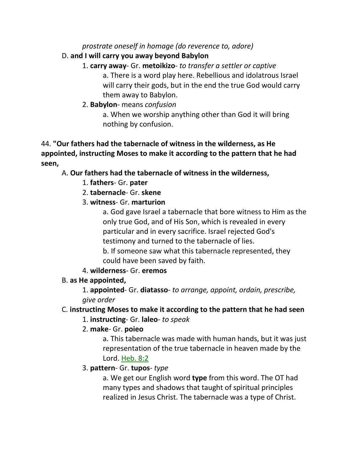### *prostrate oneself in homage (do reverence to, adore)*

#### D. **and I will carry you away beyond Babylon**

- 1. **carry away** Gr. **metoikizo** *to transfer a settler or captive* a. There is a word play here. Rebellious and idolatrous Israel will carry their gods, but in the end the true God would carry them away to Babylon.
- 2. **Babylon** means *confusion*

a. When we worship anything other than God it will bring nothing by confusion.

44. **"Our fathers had the tabernacle of witness in the wilderness, as He appointed, instructing Moses to make it according to the pattern that he had seen,**

# A. **Our fathers had the tabernacle of witness in the wilderness,**

- 1. **fathers** Gr. **pater**
- 2. **tabernacle** Gr. **skene**
- 3. **witness** Gr. **marturion**

a. God gave Israel a tabernacle that bore witness to Him as the only true God, and of His Son, which is revealed in every particular and in every sacrifice. Israel rejected God's testimony and turned to the tabernacle of lies.

b. If someone saw what this tabernacle represented, they could have been saved by faith.

### 4. **wilderness**- Gr. **eremos**

### B. **as He appointed,**

1. **appointed**- Gr. **diatasso**- *to arrange, appoint, ordain, prescribe, give order*

### C. **instructing Moses to make it according to the pattern that he had seen**

### 1. **instructing**- Gr. **laleo**- *to speak*

### 2. **make**- Gr. **poieo**

a. This tabernacle was made with human hands, but it was just representation of the true tabernacle in heaven made by the Lord. Heb. 8:2

### 3. **pattern**- Gr. **tupos**- *type*

a. We get our English word **type** from this word. The OT had many types and shadows that taught of spiritual principles realized in Jesus Christ. The tabernacle was a type of Christ.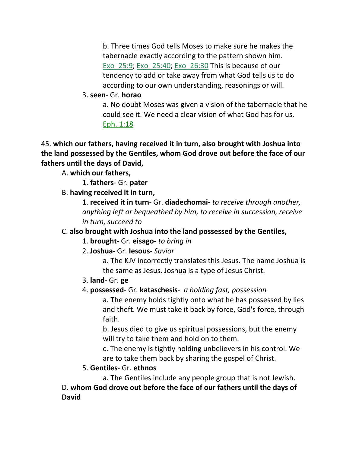b. Three times God tells Moses to make sure he makes the tabernacle exactly according to the pattern shown him. Exo\_25:9; Exo\_25:40; Exo\_26:30 This is because of our tendency to add or take away from what God tells us to do according to our own understanding, reasonings or will.

### 3. **seen**- Gr. **horao**

a. No doubt Moses was given a vision of the tabernacle that he could see it. We need a clear vision of what God has for us. Eph. 1:18

45. **which our fathers, having received it in turn, also brought with Joshua into the land possessed by the Gentiles, whom God drove out before the face of our fathers until the days of David,** 

A. **which our fathers,**

1. **fathers**- Gr. **pater**

B. **having received it in turn,**

1. **received it in turn**- Gr. **diadechomai-** *to receive through another, anything left or bequeathed by him, to receive in succession, receive in turn, succeed to*

# C. **also brought with Joshua into the land possessed by the Gentiles,**

1. **brought**- Gr. **eisago**- *to bring in*

2. **Joshua**- Gr. **Iesous**- *Savior*

a. The KJV incorrectly translates this Jesus. The name Joshua is the same as Jesus. Joshua is a type of Jesus Christ.

- 3. **land** Gr. **ge**
- 4. **possessed** Gr. **kataschesis** *a holding fast, possession*

a. The enemy holds tightly onto what he has possessed by lies and theft. We must take it back by force, God's force, through faith.

b. Jesus died to give us spiritual possessions, but the enemy will try to take them and hold on to them.

c. The enemy is tightly holding unbelievers in his control. We are to take them back by sharing the gospel of Christ.

# 5. **Gentiles**- Gr. **ethnos**

a. The Gentiles include any people group that is not Jewish.

D. **whom God drove out before the face of our fathers until the days of David**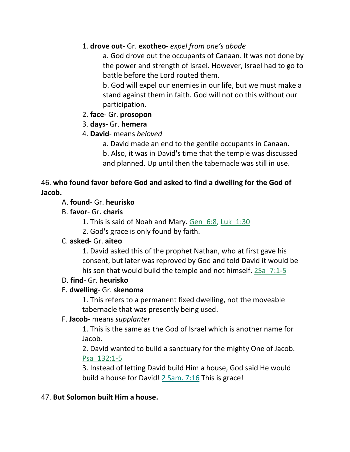### 1. **drove out**- Gr. **exotheo**- *expel from one's abode*

a. God drove out the occupants of Canaan. It was not done by the power and strength of Israel. However, Israel had to go to battle before the Lord routed them.

b. God will expel our enemies in our life, but we must make a stand against them in faith. God will not do this without our participation.

#### 2. **face**- Gr. **prosopon**

#### 3. **days-** Gr. **hemera**

### 4. **David**- means *beloved*

a. David made an end to the gentile occupants in Canaan. b. Also, it was in David's time that the temple was discussed and planned. Up until then the tabernacle was still in use.

### 46. **who found favor before God and asked to find a dwelling for the God of Jacob.**

#### A. **found**- Gr. **heurisko**

### B. **favor**- Gr. **charis**

- 1. This is said of Noah and Mary. Gen\_6:8, Luk\_1:30
- 2. God's grace is only found by faith.

### C. **asked**- Gr. **aiteo**

1. David asked this of the prophet Nathan, who at first gave his consent, but later was reproved by God and told David it would be his son that would build the temple and not himself. 2Sa 7:1-5

#### D. **find**- Gr. **heurisko**

### E. **dwelling**- Gr. **skenoma**

1. This refers to a permanent fixed dwelling, not the moveable tabernacle that was presently being used.

#### F. **Jacob**- means *supplanter*

1. This is the same as the God of Israel which is another name for Jacob.

2. David wanted to build a sanctuary for the mighty One of Jacob. Psa\_132:1-5

3. Instead of letting David build Him a house, God said He would build a house for David! 2 Sam. 7:16 This is grace!

### 47. **But Solomon built Him a house.**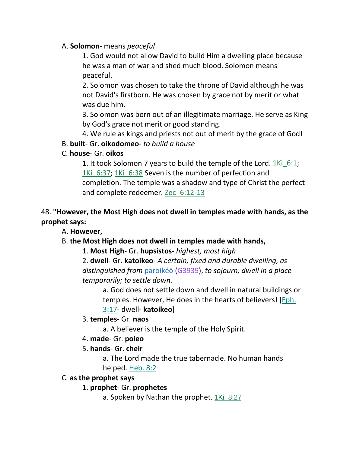### A. **Solomon**- means *peaceful*

1. God would not allow David to build Him a dwelling place because he was a man of war and shed much blood. Solomon means peaceful.

2. Solomon was chosen to take the throne of David although he was not David's firstborn. He was chosen by grace not by merit or what was due him.

3. Solomon was born out of an illegitimate marriage. He serve as King by God's grace not merit or good standing.

4. We rule as kings and priests not out of merit by the grace of God!

#### B. **built**- Gr. **oikodomeo**- *to build a house*

### C. **house**- Gr. **oikos**

1. It took Solomon 7 years to build the temple of the Lord. 1Ki\_6:1; 1Ki 6:37; 1Ki 6:38 Seven is the number of perfection and completion. The temple was a shadow and type of Christ the perfect and complete redeemer. Zec 6:12-13

# 48. **"However, the Most High does not dwell in temples made with hands, as the prophet says:**

A. **However,**

# B. **the Most High does not dwell in temples made with hands,**

1. **Most High**- Gr. **hupsistos**- *highest, most high*

2. **dwell**- Gr. **katoikeo**- *A certain, fixed and durable dwelling, as distinguished from* paroikéō (G3939), *to sojourn, dwell in a place temporarily; to settle down.*

a. God does not settle down and dwell in natural buildings or temples. However, He does in the hearts of believers! [Eph. 3:17- dwell- **katoikeo**]

### 3. **temples**- Gr. **naos**

a. A believer is the temple of the Holy Spirit.

### 4. **made**- Gr. **poieo**

### 5. **hands**- Gr. **cheir**

a. The Lord made the true tabernacle. No human hands helped. Heb. 8:2

### C. **as the prophet says**

### 1. **prophet**- Gr. **prophetes**

a. Spoken by Nathan the prophet. 1Ki 8:27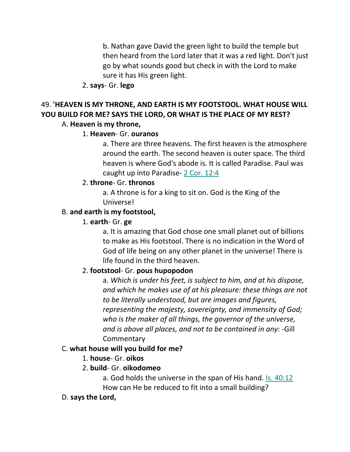b. Nathan gave David the green light to build the temple but then heard from the Lord later that it was a red light. Don't just go by what sounds good but check in with the Lord to make sure it has His green light.

#### 2. **says**- Gr. **lego**

# 49. **'HEAVEN IS MY THRONE, AND EARTH IS MY FOOTSTOOL. WHAT HOUSE WILL YOU BUILD FOR ME? SAYS THE LORD, OR WHAT IS THE PLACE OF MY REST?**

#### A. **Heaven is my throne,**

#### 1. **Heaven**- Gr. **ouranos**

a. There are three heavens. The first heaven is the atmosphere around the earth. The second heaven is outer space. The third heaven is where God's abode is. It is called Paradise. Paul was caught up into Paradise- 2 Cor. 12:4

#### 2. **throne**- Gr. **thronos**

a. A throne is for a king to sit on. God is the King of the Universe!

#### B. **and earth is my footstool,**

#### 1. **earth**- Gr. **ge**

a. It is amazing that God chose one small planet out of billions to make as His footstool. There is no indication in the Word of God of life being on any other planet in the universe! There is life found in the third heaven.

### 2. **footstool**- Gr. **pous hupopodon**

a. *Which is under his feet, is subject to him, and at his dispose, and which he makes use of at his pleasure: these things are not to be literally understood, but are images and figures, representing the majesty, sovereignty, and immensity of God; who is the maker of all things, the governor of the universe, and is above all places, and not to be contained in any*: -Gill **Commentary** 

### C. **what house will you build for me?**

### 1. **house**- Gr. **oikos**

### 2. **build**- Gr. **oikodomeo**

a. God holds the universe in the span of His hand. Is. 40:12 How can He be reduced to fit into a small building?

#### D. **says the Lord,**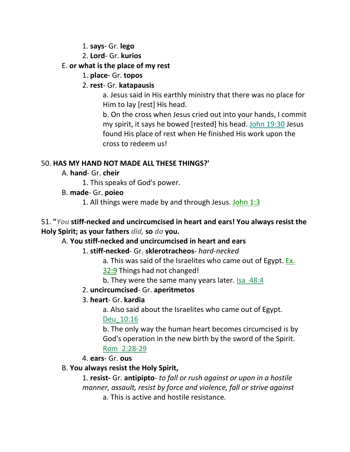- 1. **says** Gr. **lego**
- 2. **Lord** Gr. **kurios**

#### E. **or what is the place of my rest**

1. **place**- Gr. **topos**

### 2. **rest**- Gr. **katapausis**

a. Jesus said in His earthly ministry that there was no place for Him to lay [rest] His head.

b. On the cross when Jesus cried out into your hands, I commit my spirit, it says he bowed [rested] his head. John 19:30 Jesus found His place of rest when He finished His work upon the cross to redeem us!

### 50. **HAS MY HAND NOT MADE ALL THESE THINGS?'**

- A. **hand** Gr. **cheir**
	- 1. This speaks of God's power.
- B. **made** Gr. **poieo**
	- 1. All things were made by and through Jesus. John 1:3

### 51. **"***You* **stiff-necked and uncircumcised in heart and ears! You always resist the Holy Spirit; as your fathers** *did,* **so** *do* **you.**

### A. **You stiff-necked and uncircumcised in heart and ears**

### 1. **stiff-necked**- Gr. **sklerotracheos**- *hard-necked*

- a. This was said of the Israelites who came out of Egypt. Ex.
- 32:9 Things had not changed!
- b. They were the same many years later. Isa 48:4

### 2. **uncircumcised**- Gr. **aperitmetos**

### 3. **heart**- Gr. **kardia**

a. Also said about the Israelites who came out of Egypt.

### Deu\_10:16

b. The only way the human heart becomes circumcised is by God's operation in the new birth by the sword of the Spirit. Rom\_2:28-29

4. **ears**- Gr. **ous**

### B. **You always resist the Holy Spirit,**

1. **resist-** Gr. **antipipto**- *to fall or rush against or upon in a hostile manner, assault, resist by force and violence, fall or strive against* a. This is active and hostile resistance.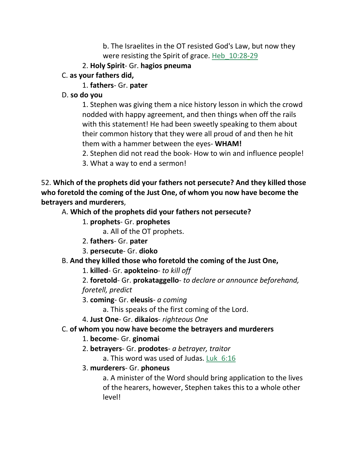b. The Israelites in the OT resisted God's Law, but now they were resisting the Spirit of grace. Heb\_10:28-29

# 2. **Holy Spirit**- Gr. **hagios pneuma**

C. **as your fathers did,**

# 1. **fathers**- Gr. **pater**

# D. **so do you**

1. Stephen was giving them a nice history lesson in which the crowd nodded with happy agreement, and then things when off the rails with this statement! He had been sweetly speaking to them about their common history that they were all proud of and then he hit them with a hammer between the eyes- **WHAM!** 

2. Stephen did not read the book- How to win and influence people!

3. What a way to end a sermon!

52. **Which of the prophets did your fathers not persecute? And they killed those who foretold the coming of the Just One, of whom you now have become the betrayers and murderers**,

# A. **Which of the prophets did your fathers not persecute?**

1. **prophets**- Gr. **prophetes**

a. All of the OT prophets.

- 2. **fathers** Gr. **pater**
- 3. **persecute** Gr. **dioko**

# B. **And they killed those who foretold the coming of the Just One,**

1. **killed**- Gr. **apokteino**- *to kill off*

2. **foretold**- Gr. **prokataggello**- *to declare or announce beforehand, foretell, predict*

3. **coming**- Gr. **eleusis**- *a coming*

a. This speaks of the first coming of the Lord.

4. **Just One**- Gr. **dikaios**- *righteous One*

# C. **of whom you now have become the betrayers and murderers**

# 1. **become**- Gr. **ginomai**

- 2. **betrayers** Gr. **prodotes** *a betrayer, traitor*
	- a. This word was used of Judas. Luk\_6:16
- 3. **murderers** Gr. **phoneus**

a. A minister of the Word should bring application to the lives of the hearers, however, Stephen takes this to a whole other level!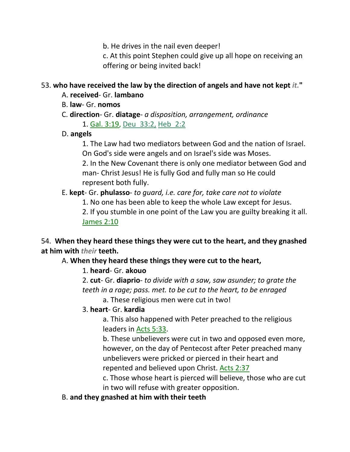b. He drives in the nail even deeper!

c. At this point Stephen could give up all hope on receiving an offering or being invited back!

#### 53. **who have received the law by the direction of angels and have not kept** *it.***"**

- A. **received** Gr. **lambano**
- B. **law** Gr. **nomos**
- C. **direction** Gr. **diatage** *a disposition, arrangement, ordinance*

1. Gal. 3:19, Deu\_33:2, Heb\_2:2

D. **angels**

1. The Law had two mediators between God and the nation of Israel. On God's side were angels and on Israel's side was Moses.

2. In the New Covenant there is only one mediator between God and man- Christ Jesus! He is fully God and fully man so He could represent both fully.

# E. **kept**- Gr. **phulasso**- *to guard, i.e. care for, take care not to violate*

1. No one has been able to keep the whole Law except for Jesus.

2. If you stumble in one point of the Law you are guilty breaking it all. James 2:10

# 54. **When they heard these things they were cut to the heart, and they gnashed at him with** *their* **teeth.**

A. **When they heard these things they were cut to the heart,**

# 1. **heard**- Gr. **akouo**

2. **cut**- Gr. **diaprio**- *to divide with a saw, saw asunder; to grate the teeth in a rage; pass. met. to be cut to the heart, to be enraged*

a. These religious men were cut in two!

# 3. **heart**- Gr. **kardia**

a. This also happened with Peter preached to the religious leaders in Acts 5:33.

b. These unbelievers were cut in two and opposed even more, however, on the day of Pentecost after Peter preached many unbelievers were pricked or pierced in their heart and repented and believed upon Christ. Acts 2:37

c. Those whose heart is pierced will believe, those who are cut in two will refuse with greater opposition.

# B. **and they gnashed at him with their teeth**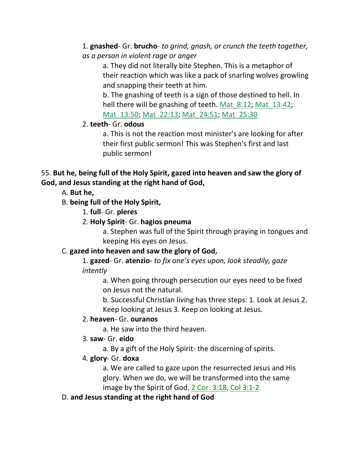1. **gnashed**- Gr. **brucho**- *to grind, gnash, or crunch the teeth together, as a person in violent rage or anger*

a. They did not literally bite Stephen. This is a metaphor of their reaction which was like a pack of snarling wolves growling and snapping their teeth at him.

b. The gnashing of teeth is a sign of those destined to hell. In hell there will be gnashing of teeth. Mat 8:12; Mat 13:42; Mat 13:50; Mat 22:13; Mat 24:51; Mat 25:30

# 2. **teeth**- Gr. **odous**

a. This is not the reaction most minister's are looking for after their first public sermon! This was Stephen's first and last public sermon!

# 55. **But he, being full of the Holy Spirit, gazed into heaven and saw the glory of God, and Jesus standing at the right hand of God,**

# A. **But he,**

# B. **being full of the Holy Spirit,**

1. **full**- Gr. **pleres**

# 2. **Holy Spirit**- Gr. **hagios pneuma**

a. Stephen was full of the Spirit through praying in tongues and keeping His eyes on Jesus.

# C. **gazed into heaven and saw the glory of God,**

1. **gazed**- Gr. **atenzio**- *to fix one's eyes upon, look steadily, gaze intently*

a. When going through persecution our eyes need to be fixed on Jesus not the natural.

b. Successful Christian living has three steps: 1. Look at Jesus 2. Keep looking at Jesus 3. Keep on looking at Jesus.

# 2. **heaven**- Gr. **ouranos**

a. He saw into the third heaven.

# 3. **saw**- Gr. **eido**

a. By a gift of the Holy Spirit- the discerning of spirits.

# 4. **glory**- Gr. **doxa**

a. We are called to gaze upon the resurrected Jesus and His glory. When we do, we will be transformed into the same image by the Spirit of God. 2 Cor. 3:18, Col 3:1-2

# D. **and Jesus standing at the right hand of God**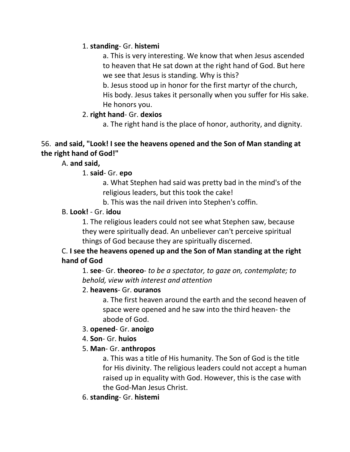# 1. **standing**- Gr. **histemi**

a. This is very interesting. We know that when Jesus ascended to heaven that He sat down at the right hand of God. But here we see that Jesus is standing. Why is this?

b. Jesus stood up in honor for the first martyr of the church, His body. Jesus takes it personally when you suffer for His sake. He honors you.

#### 2. **right hand**- Gr. **dexios**

a. The right hand is the place of honor, authority, and dignity.

#### 56. **and said, "Look! I see the heavens opened and the Son of Man standing at the right hand of God!"**

### A. **and said,**

### 1. **said**- Gr. **epo**

a. What Stephen had said was pretty bad in the mind's of the religious leaders, but this took the cake!

b. This was the nail driven into Stephen's coffin.

### B. **Look!** - Gr. **idou**

1. The religious leaders could not see what Stephen saw, because they were spiritually dead. An unbeliever can't perceive spiritual things of God because they are spiritually discerned.

# C. **I see the heavens opened up and the Son of Man standing at the right hand of God**

1. **see**- Gr. **theoreo**- *to be a spectator, to gaze on, contemplate; to behold, view with interest and attention*

### 2. **heavens**- Gr. **ouranos**

a. The first heaven around the earth and the second heaven of space were opened and he saw into the third heaven- the abode of God.

### 3. **opened**- Gr. **anoigo**

- 4. **Son** Gr. **huios**
- 5. **Man** Gr. **anthropos**

a. This was a title of His humanity. The Son of God is the title for His divinity. The religious leaders could not accept a human raised up in equality with God. However, this is the case with the God-Man Jesus Christ.

6. **standing**- Gr. **histemi**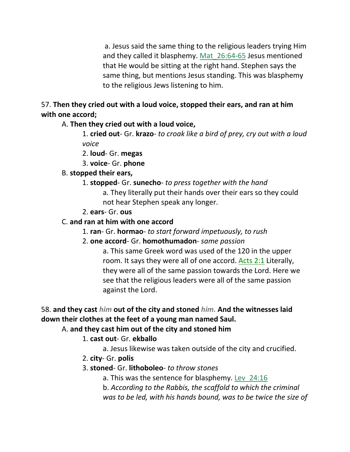a. Jesus said the same thing to the religious leaders trying Him and they called it blasphemy. Mat\_26:64-65 Jesus mentioned that He would be sitting at the right hand. Stephen says the same thing, but mentions Jesus standing. This was blasphemy to the religious Jews listening to him.

57. **Then they cried out with a loud voice, stopped their ears, and ran at him with one accord;** 

A. **Then they cried out with a loud voice,**

1. **cried out**- Gr. **krazo**- *to croak like a bird of prey, cry out with a loud voice*

2. **loud**- Gr. **megas**

3. **voice**- Gr. **phone**

#### B. **stopped their ears,**

- 1. **stopped** Gr. **sunecho** *to press together with the hand* a. They literally put their hands over their ears so they could not hear Stephen speak any longer.
- 2. **ears** Gr. **ous**

#### C. **and ran at him with one accord**

- 1. **ran** Gr. **hormao** *to start forward impetuously, to rush*
- 2. **one accord** Gr. **homothumadon** *same passion*

a. This same Greek word was used of the 120 in the upper room. It says they were all of one accord. Acts 2:1 Literally, they were all of the same passion towards the Lord. Here we see that the religious leaders were all of the same passion against the Lord.

# 58. **and they cast** *him* **out of the city and stoned** *him.* **And the witnesses laid down their clothes at the feet of a young man named Saul.**

### A. **and they cast him out of the city and stoned him**

### 1. **cast out**- Gr. **ekballo**

a. Jesus likewise was taken outside of the city and crucified.

- 2. **city** Gr. **polis**
- 3. **stoned** Gr. **lithoboleo** *to throw stones*
	- a. This was the sentence for blasphemy. Lev\_24:16
	- b. *According to the Rabbis, the scaffold to which the criminal was to be led, with his hands bound, was to be twice the size of*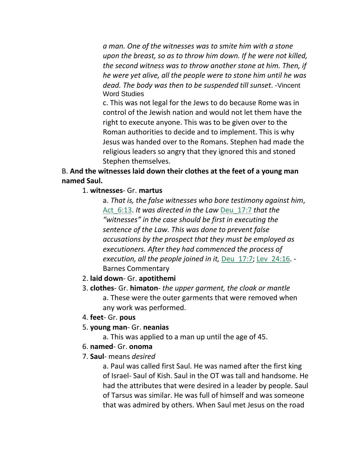*a man. One of the witnesses was to smite him with a stone upon the breast, so as to throw him down. If he were not killed, the second witness was to throw another stone at him. Then, if he were yet alive, all the people were to stone him until he was dead. The body was then to be suspended till sunset*. -Vincent Word Studies

c. This was not legal for the Jews to do because Rome was in control of the Jewish nation and would not let them have the right to execute anyone. This was to be given over to the Roman authorities to decide and to implement. This is why Jesus was handed over to the Romans. Stephen had made the religious leaders so angry that they ignored this and stoned Stephen themselves.

#### B. **And the witnesses laid down their clothes at the feet of a young man named Saul.**

#### 1. **witnesses**- Gr. **martus**

a. *That is, the false witnesses who bore testimony against him*, Act\_6:13. *It was directed in the Law* Deu\_17:7 *that the "witnesses" in the case should be first in executing the sentence of the Law. This was done to prevent false accusations by the prospect that they must be employed as executioners. After they had commenced the process of execution, all the people joined in it,* Deu\_17:7; Lev\_24:16. - Barnes Commentary

#### 2. **laid down**- Gr. **apotithemi**

- 3. **clothes** Gr. **himaton** *the upper garment, the cloak or mantle* a. These were the outer garments that were removed when any work was performed.
- 4. **feet** Gr. **pous**
- 5. **young man** Gr. **neanias**
	- a. This was applied to a man up until the age of 45.
- 6. **named** Gr. **onoma**
- 7. **Saul** means *desired*

a. Paul was called first Saul. He was named after the first king of Israel- Saul of Kish. Saul in the OT was tall and handsome. He had the attributes that were desired in a leader by people. Saul of Tarsus was similar. He was full of himself and was someone that was admired by others. When Saul met Jesus on the road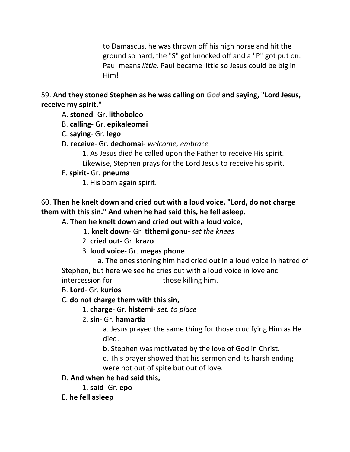to Damascus, he was thrown off his high horse and hit the ground so hard, the "S" got knocked off and a "P" got put on. Paul means *little*. Paul became little so Jesus could be big in Him!

### 59. **And they stoned Stephen as he was calling on** *God* **and saying, "Lord Jesus, receive my spirit."**

- A. **stoned** Gr. **lithoboleo**
- B. **calling** Gr. **epikaleomai**
- C. **saying** Gr. **lego**
- D. **receive** Gr. **dechomai** *welcome, embrace*
	- 1. As Jesus died he called upon the Father to receive His spirit. Likewise, Stephen prays for the Lord Jesus to receive his spirit.

# E. **spirit**- Gr. **pneuma**

1. His born again spirit.

# 60. **Then he knelt down and cried out with a loud voice, "Lord, do not charge them with this sin." And when he had said this, he fell asleep.**

# A. **Then he knelt down and cried out with a loud voice,**

- 1. **knelt down** Gr. **tithemi gonu-** *set the knees*
- 2. **cried out** Gr. **krazo**
- 3. **loud voice** Gr. **megas phone**

 a. The ones stoning him had cried out in a loud voice in hatred of Stephen, but here we see he cries out with a loud voice in love and intercession for those killing him.

# B. **Lord**- Gr. **kurios**

# C. **do not charge them with this sin,**

1. **charge**- Gr. **histemi**- *set, to place*

# 2. **sin**- Gr. **hamartia**

a. Jesus prayed the same thing for those crucifying Him as He died.

b. Stephen was motivated by the love of God in Christ.

c. This prayer showed that his sermon and its harsh ending were not out of spite but out of love.

# D. **And when he had said this,**

- 1. **said** Gr. **epo**
- E. **he fell asleep**